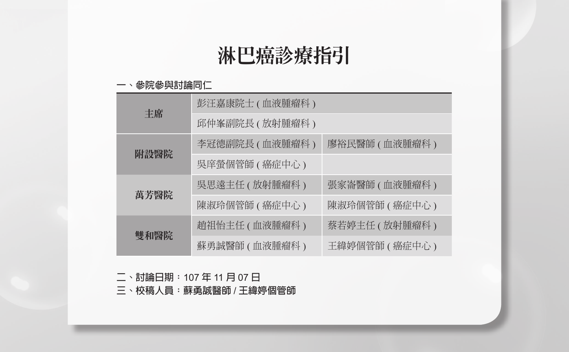# 淋巴癌診療指引

# **一、參院參與討論同仁**

| 丰席   | 彭汪嘉康院士 ( 血液腫瘤科 ) |                 |
|------|------------------|-----------------|
|      | 邱仲峯副院長 ( 放射腫瘤科 ) |                 |
| 附設醫院 | 李冠德副院長(血液腫瘤科)    | 廖裕民醫師 ( 血液腫瘤科 ) |
|      | 吳庠螢個管師 ( 癌症中心 )  |                 |
|      | 吳思遠主任 ( 放射腫瘤科 )  | 張家崙醫師(血液腫瘤科)    |
| 萬芳醫院 | 陳淑玲個管師 ( 癌症中心 )  | 陳淑玲個管師 (癌症中心)   |
| 雙和醫院 | 趙祖怡主任 (血液腫瘤科)    | 蔡若婷主任 ( 放射腫瘤科 ) |
|      | 蘇勇誠醫師 ( 血液腫瘤科 )  | 王緯婷個管師 ( 癌症中心 ) |

**二、討論日期:**107 **年** 11 **月** 07 **日**

**三、校稿人員:蘇勇誠醫師** / **王緯婷個管師**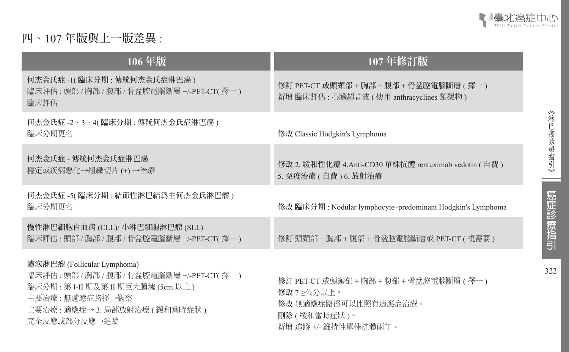

《淋巴癌診療指引》

--

癌症診療指引

322

# **四、**107 **年版與上一版差異** :

| 106年版                                                                                                                                                                                  | 107年修訂版                                                                                                                   |
|----------------------------------------------------------------------------------------------------------------------------------------------------------------------------------------|---------------------------------------------------------------------------------------------------------------------------|
| 何杰金氏症 -1( 臨床分期 : 傳統何杰金氏症淋巴癌 )<br>臨床評估:頭部 / 胸部 / 腹部 / 骨盆腔電腦斷層 +/-PET-CT( 擇一)<br>臨床評估                                                                                                    | 修訂 PET-CT 或頭頸部 + 胸部 + 腹部 + 骨盆腔電腦斷層 ( 擇一 )<br>新增臨床評估: 心臟超音波 (使用 anthracyclines 類藥物)                                        |
| 何杰金氏症 -2、3、4( 臨床分期 : 傳統何杰金氏症淋巴癌 )<br>臨床分期更名                                                                                                                                            | 修改 Classic Hodgkin's Lymphoma                                                                                             |
| 何杰金氏症 - 傳統何杰金氏症淋巴癌<br>穩定或疾病惡化→組織切片 (+) →治療                                                                                                                                             | 修改 2. 緩和性化療 4.Anti-CD30 單株抗體 rentuximab vedotin ( 自費 )<br>5. 免疫治療 (自費) 6. 放射治療                                            |
| 何杰金氏症-5(臨床分期:結節性淋巴結爲主何杰金氏淋巴瘤)<br>臨床分期更名                                                                                                                                                | 修改 臨床分期 : Nodular lymphocyte–predominant Hodgkin's Lymphoma                                                               |
| 慢性淋巴細胞白血病 (CLL)/ 小淋巴細胞淋巴瘤 (SLL)<br>臨床評估 : 頭部 / 胸部 / 腹部 / 骨盆腔電腦斷層 +/-PET-CT( 擇一 )                                                                                                       | 修訂 頭頸部 + 胸部 + 腹部 + 骨盆腔電腦斷層或 PET-CT ( 視需要 )                                                                                |
| 濾泡淋巴瘤 (Follicular Lymphoma)<br>臨床評估:頭部 / 胸部 / 腹部 / 骨盆腔電腦斷層 +/-PET-CT( 擇一)<br>臨床分期 : 第 I-II 期及第 II 期巨大腫塊 (5cm 以上 )<br>主要治療 : 無適應症路徑→觀察<br>主要治療: 適應症→ 3. 局部放射治療 (緩和當時症狀)<br>完全反應或部分反應→追蹤 | 修訂 PET-CT 或頭頸部 + 胸部 + 腹部 + 骨盆腔電腦斷層 ( 擇一 )<br>修改 7≥公分以上。<br>修改 無適應症路徑可以比照有適應症治療。<br>刪除 ( 緩和當時症狀 )。<br>新增 追蹤 +/- 維持性單株抗體兩年。 |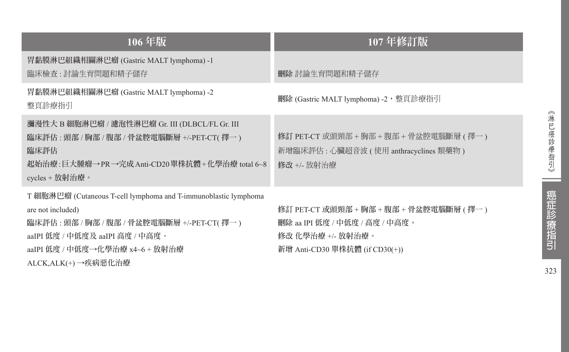| 106年版                                                                                                                                                                                                                             | 107年修訂版                                                                                                                            |
|-----------------------------------------------------------------------------------------------------------------------------------------------------------------------------------------------------------------------------------|------------------------------------------------------------------------------------------------------------------------------------|
| 胃黏膜淋巴組織相關淋巴瘤 (Gastric MALT lymphoma) -1<br>臨床檢查 : 討論生育問題和精子儲存                                                                                                                                                                     | 刪除 討論生育問題和精子儲存                                                                                                                     |
| 胃黏膜淋巴組織相關淋巴瘤 (Gastric MALT lymphoma) -2<br>整頁診療指引                                                                                                                                                                                 | 刪除 (Gastric MALT lymphoma) -2,整頁診療指引                                                                                               |
| 瀰漫性大 B 細胞淋巴瘤 / 濾泡性淋巴瘤 Gr. III (DLBCL/FL Gr. III<br>臨床評估:頭部 / 胸部 / 腹部 / 骨盆腔電腦斷層 +/-PET-CT( 擇一)<br>臨床評估<br>起始治療 : 巨大腫瘤→PR→完成 Anti-CD20 單株抗體+化學治療 total 6~8<br>cycles + 放射治療。                                                        | 修訂 PET-CT 或頭頸部 + 胸部 + 腹部 + 骨盆腔電腦斷層 ( 擇一 )<br>新增臨床評估 : 心臟超音波 ( 使用 anthracyclines 類藥物 )<br>修改 +/- 放射治療                               |
| T 細胞淋巴瘤 (Cutaneous T-cell lymphoma and T-immunoblastic lymphoma<br>are not included)<br>臨床評估 : 頭部 / 胸部 / 腹部 / 骨盆腔電腦斷層 +/-PET-CT( 擇一 )<br>aaIPI 低度 / 中低度及 aaIPI 高度 / 中高度,<br>aaIPI 低度 / 中低度→化學治療 x4~6 + 放射治療<br>ALCK,ALK(+)→疾病惡化治療 | 修訂 PET-CT 或頭頸部 + 胸部 + 腹部 + 骨盆腔電腦斷層 ( 擇一 )<br>刪除 aa IPI 低度 / 中低度 / 高度 / 中高度。<br>修改 化學治療 +/- 放射治療。<br>新增 Anti-CD30 單株抗體 (if CD30(+)) |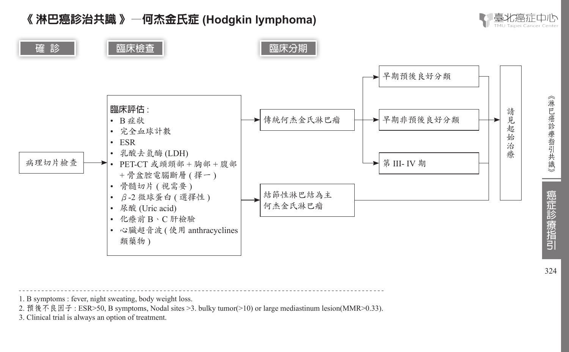



- 1. B symptoms : fever, night sweating, body weight loss.
	- 2. 預後不良因子 : ESR>50, B symptoms, Nodal sites >3. bulky tumor(>10) or large mediastinum lesion(MMR>0.33).
	- 3. Clinical trial is always an option of treatment.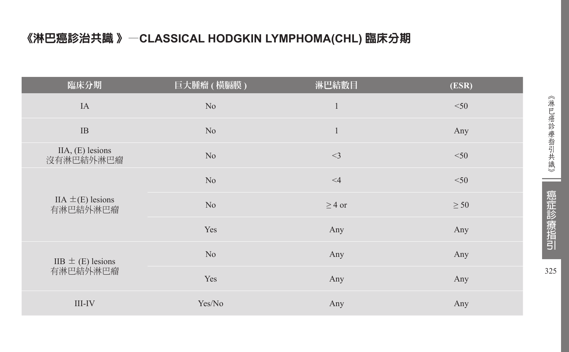# 《淋巴癌診治共識 》—**CLASSICAL HODGKIN LYMPHOMA(CHL)** 臨床分期

| 臨床分期                              | 巨大腫瘤 ( 橫膈膜 )   | 淋巴結數目        | (ESR)     |
|-----------------------------------|----------------|--------------|-----------|
| IA                                | No             | $\mathbf{1}$ | $<$ 50    |
| $\rm IB$                          | N <sub>o</sub> | $\mathbf{1}$ | Any       |
| $IIA, (E)$ lesions<br>沒有淋巴結外淋巴瘤   | N <sub>o</sub> | $<$ 3        | $<$ 50    |
| IIA $\pm$ (E) lesions<br>有淋巴結外淋巴瘤 | N <sub>o</sub> | $\leq 4$     | $<$ 50    |
|                                   | N <sub>o</sub> | $\geq$ 4 or  | $\geq 50$ |
|                                   | Yes            | Any          | Any       |
| $IIB \pm (E)$ lesions             | N <sub>o</sub> | Any          | Any       |
| 有淋巴結外淋巴瘤                          | Yes            | Any          | Any       |
| III-IV                            | Yes/No         | Any          | Any       |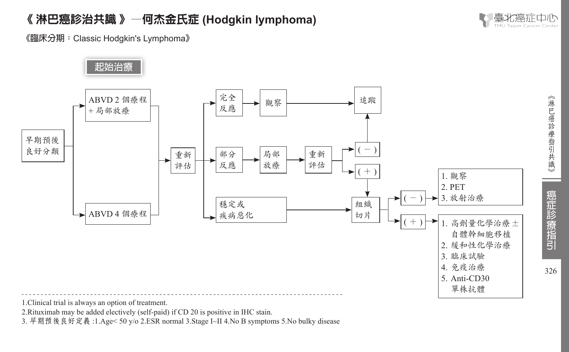

326

癌症診療指引

《淋巴癌診療指引共識》

**《臨床分期:**Classic Hodgkin's Lymphoma**》**



1.Clinical trial is always an option of treatment.

2.Rituximab may be added electively (self-paid) if CD 20 is positive in IHC stain.

3. 早期預後良好定義 :1.Age< 50 y/o 2.ESR normal 3.Stage I~II 4.No B symptoms 5.No bulky disease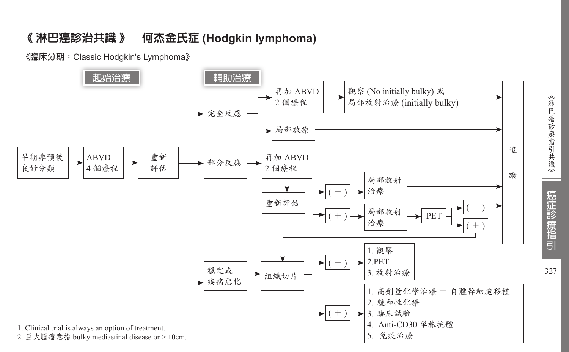**《臨床分期:**Classic Hodgkin's Lymphoma**》**



327

癌症診療指引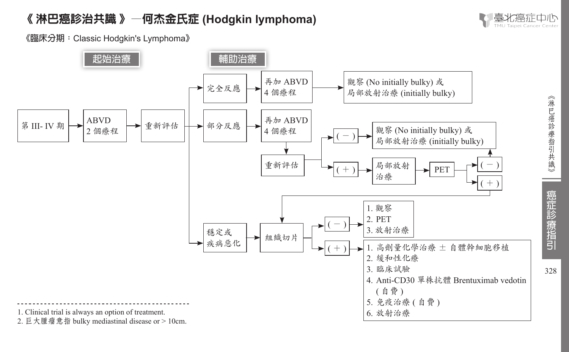

328

癌症診療指引

《淋巴癌診療指引共識》

**《臨床分期:**Classic Hodgkin's Lymphoma**》**

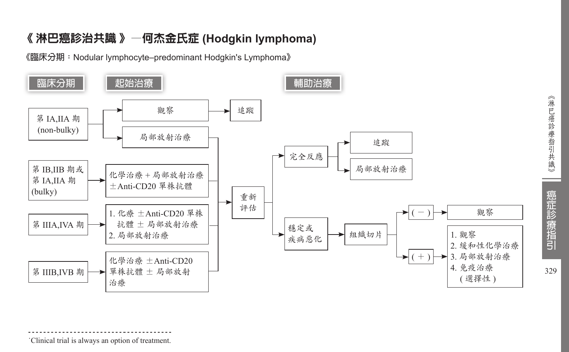**《臨床分期:**Nodular lymphocyte–predominant Hodgkin's Lymphoma**》**



### ˙Clinical trial is always an option of treatment.

《淋巴癌診療指引共識》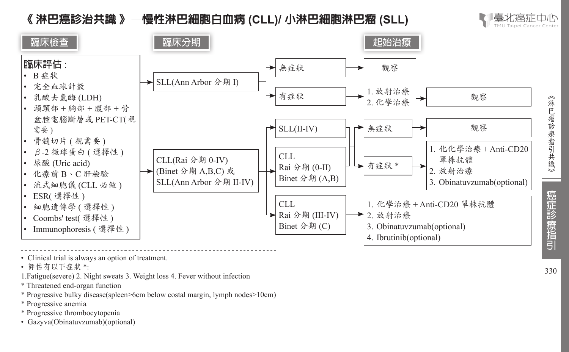# 《 淋巴癌診治共識 》—慢性淋巴細胞白血病 **(CLL)/** 小淋巴細胞淋巴瘤 **(SLL)**





• Clinical trial is always an option of treatment.

• 評估有以下症狀 \*:

1.Fatigue(severe) 2. Night sweats 3. Weight loss 4. Fever without infection

\* Threatened end-organ function

\* Progressive bulky disease(spleen>6cm below costal margin, lymph nodes>10cm)

\* Progressive anemia

\* Progressive thrombocytopenia

• Gazyva(Obinatuvzumab)(optional)

330

《淋巴癌診療指引共識

€

癌症診療指引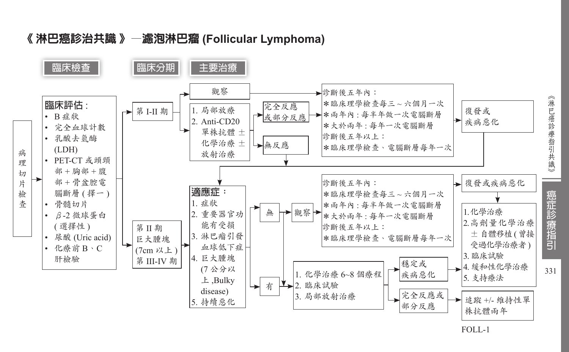



FOLL-1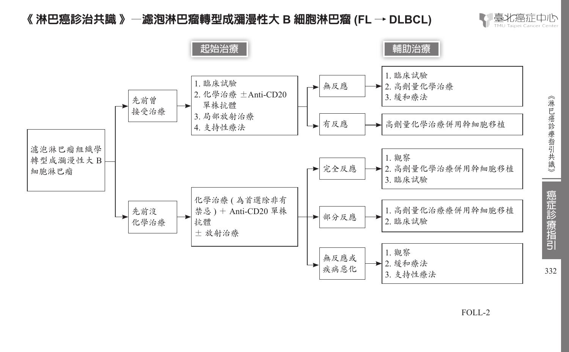# 《 淋巴癌診治共識 》—濾泡淋巴瘤轉型成瀰漫性大 **B** 細胞淋巴瘤 **(FL** → **DLBCL)**





332

FOLL-2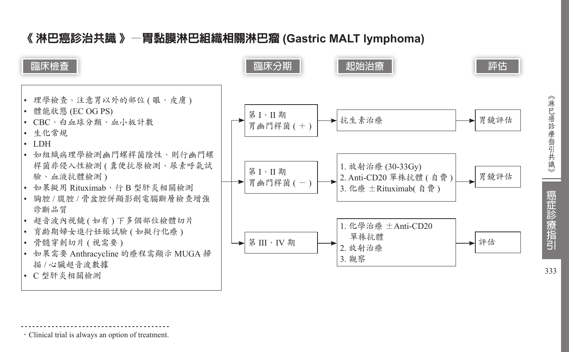# 《 淋巴癌診治共識 》—胃黏膜淋巴組織相關淋巴瘤 **(Gastric MALT lymphoma)**



‧Clinical trial is always an option of treatment.

癌症診療指引 333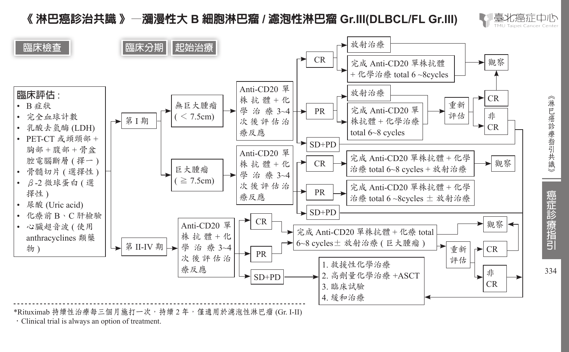# 《 淋巴癌診治共識 》—瀰漫性大 **B** 細胞淋巴瘤 **/** 濾泡性淋巴瘤 **Gr.III(DLBCL/FL Gr.III)**



334

癌症診療指引

《淋巴癌診療指引共識》



\*Rituximab 持續性治療每三個月施打一次,持續 2 年, 僅適用於濾泡性淋巴瘤 (Gr. I-II)

‧Clinical trial is always an option of treatment.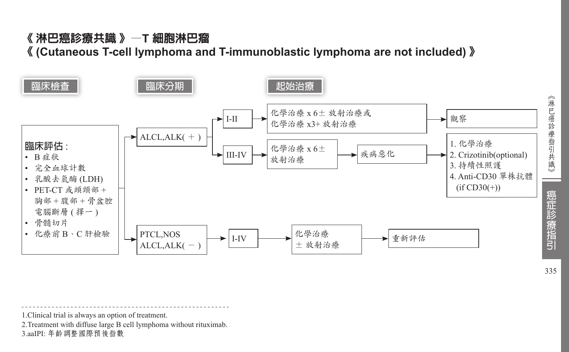# 《 淋巴癌診療共識 》—**T** 細胞淋巴瘤 《 **(Cutaneous T-cell lymphoma and T-immunoblastic lymphoma are not included)** 》



<sup>1.</sup>Clinical trial is always an option of treatment.

<sup>2.</sup>Treatment with diffuse large B cell lymphoma without rituximab.

<sup>3.</sup>aaIPI: 年齡調整國際預後指數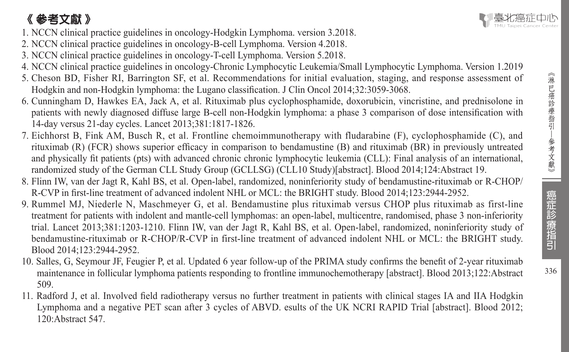# 《 參考文獻 》

- 1. NCCN clinical practice guidelines in oncology-Hodgkin Lymphoma. version 3.2018.
- 2. NCCN clinical practice guidelines in oncology-B-cell Lymphoma. Version 4.2018.
- 3. NCCN clinical practice guidelines in oncology-T-cell Lymphoma. Version 5.2018.
- 4. NCCN clinical practice guidelines in oncology-Chronic Lymphocytic Leukemia/Small Lymphocytic Lymphoma. Version 1.2019
- 5. Cheson BD, Fisher RI, Barrington SF, et al. Recommendations for initial evaluation, staging, and response assessment of Hodgkin and non-Hodgkin lymphoma: the Lugano classification. J Clin Oncol 2014;32:3059-3068.
- 6. Cunningham D, Hawkes EA, Jack A, et al. Rituximab plus cyclophosphamide, doxorubicin, vincristine, and prednisolone in patients with newly diagnosed diffuse large B-cell non-Hodgkin lymphoma: a phase 3 comparison of dose intensification with 14-day versus 21-day cycles. Lancet 2013;381:1817-1826.
- 7. Eichhorst B, Fink AM, Busch R, et al. Frontline chemoimmunotherapy with fludarabine (F), cyclophosphamide (C), and rituximab (R) (FCR) shows superior efficacy in comparison to bendamustine (B) and rituximab (BR) in previously untreated and physically fit patients (pts) with advanced chronic chronic lymphocytic leukemia (CLL): Final analysis of an international, randomized study of the German CLL Study Group (GCLLSG) (CLL10 Study)[abstract]. Blood 2014;124:Abstract 19.
- 8. Flinn IW, van der Jagt R, Kahl BS, et al. Open-label, randomized, noninferiority study of bendamustine-rituximab or R-CHOP/ R-CVP in first-line treatment of advanced indolent NHL or MCL: the BRIGHT study. Blood 2014;123:2944-2952.
- 9. Rummel MJ, Niederle N, Maschmeyer G, et al. Bendamustine plus rituximab versus CHOP plus rituximab as first-line treatment for patients with indolent and mantle-cell lymphomas: an open-label, multicentre, randomised, phase 3 non-inferiority trial. Lancet 2013;381:1203-1210. Flinn IW, van der Jagt R, Kahl BS, et al. Open-label, randomized, noninferiority study of bendamustine-rituximab or R-CHOP/R-CVP in first-line treatment of advanced indolent NHL or MCL: the BRIGHT study. Blood 2014;123:2944-2952.
- 10. Salles, G, Seymour JF, Feugier P, et al. Updated 6 year follow-up of the PRIMA study confirms the benefit of 2-year rituximab maintenance in follicular lymphoma patients responding to frontline immunochemotherapy [abstract]. Blood 2013;122:Abstract 509.
- 11. Radford J, et al. Involved field radiotherapy versus no further treatment in patients with clinical stages IA and IIA Hodgkin Lymphoma and a negative PET scan after 3 cycles of ABVD. esults of the UK NCRI RAPID Trial [abstract]. Blood 2012; 120:Abstract 547.

癌症診療指引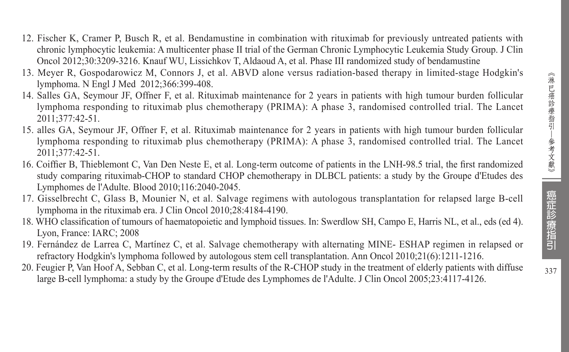- 12. Fischer K, Cramer P, Busch R, et al. Bendamustine in combination with rituximab for previously untreated patients with chronic lymphocytic leukemia: A multicenter phase II trial of the German Chronic Lymphocytic Leukemia Study Group. J Clin Oncol 2012;30:3209-3216. Knauf WU, Lissichkov T, Aldaoud A, et al. Phase III randomized study of bendamustine
- 13. Meyer R, Gospodarowicz M, Connors J, et al. ABVD alone versus radiation-based therapy in limited-stage Hodgkin's lymphoma. N Engl J Med 2012;366:399-408.
- 14. Salles GA, Seymour JF, Offner F, et al. Rituximab maintenance for 2 years in patients with high tumour burden follicular lymphoma responding to rituximab plus chemotherapy (PRIMA): A phase 3, randomised controlled trial. The Lancet 2011;377:42-51.
- 15. alles GA, Seymour JF, Offner F, et al. Rituximab maintenance for 2 years in patients with high tumour burden follicular lymphoma responding to rituximab plus chemotherapy (PRIMA): A phase 3, randomised controlled trial. The Lancet 2011;377:42-51.
- 16. Coiffier B, Thieblemont C, Van Den Neste E, et al. Long-term outcome of patients in the LNH-98.5 trial, the first randomized study comparing rituximab-CHOP to standard CHOP chemotherapy in DLBCL patients: a study by the Groupe d'Etudes des Lymphomes de l'Adulte. Blood 2010;116:2040-2045.
- 17. Gisselbrecht C, Glass B, Mounier N, et al. Salvage regimens with autologous transplantation for relapsed large B-cell lymphoma in the rituximab era. J Clin Oncol 2010;28:4184-4190.
- 18. WHO classification of tumours of haematopoietic and lymphoid tissues. In: Swerdlow SH, Campo E, Harris NL, et al., eds (ed 4). Lyon, France: IARC; 2008
- 19. Fernández de Larrea C, Martínez C, et al. Salvage chemotherapy with alternating MINE- ESHAP regimen in relapsed or refractory Hodgkin's lymphoma followed by autologous stem cell transplantation. Ann Oncol 2010;21(6):1211-1216.
- 20. Feugier P, Van Hoof A, Sebban C, et al. Long-term results of the R-CHOP study in the treatment of elderly patients with diffuse large B-cell lymphoma: a study by the Groupe d'Etude des Lymphomes de l'Adulte. J Clin Oncol 2005;23:4117-4126.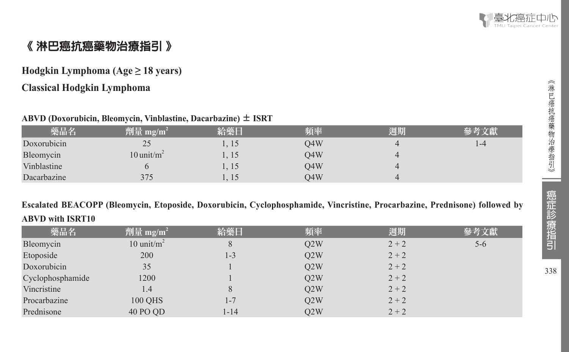

# 《 淋巴癌抗癌藥物治療指引 》

# **Hodgkin Lymphoma (Age ≥ 18 years)**

# **Classical Hodgkin Lymphoma**

### **ABVD (Doxorubicin, Bleomycin, Vinblastine, Dacarbazine)** ± **ISRT**

| 藥品名         | $^2$ 劑量 mg/m <sup>2</sup> | 給藥日   | 頻率  | 週期             | 參考文獻 |
|-------------|---------------------------|-------|-----|----------------|------|
| Doxorubicin | 25                        | 1,15  | O4W | $\Delta$       | 1-4  |
| Bleomycin   | $10$ unit/m <sup>2</sup>  | 1, 15 | O4W | $\Delta$       |      |
| Vinblastine |                           | 1, 15 | O4W | $\overline{4}$ |      |
| Dacarbazine | 375                       | 1, 15 | O4W | $\overline{4}$ |      |

# **Escalated BEACOPP (Bleomycin, Etoposide, Doxorubicin, Cyclophosphamide, Vincristine, Procarbazine, Prednisone) followed by ABVD with ISRT10**

| 藥品名              | 劑量 mg/m <sup>2</sup> | 給藥日      | 頻率  | 週期      | 參考文獻    |
|------------------|----------------------|----------|-----|---------|---------|
| Bleomycin        | 10 unit/ $m2$        | 8        | O2W | $2 + 2$ | $5 - 6$ |
| Etoposide        | 200                  | 1-3      | Q2W | $2 + 2$ |         |
| Doxorubicin      | 35                   |          | O2W | $2 + 2$ |         |
| Cyclophosphamide | 1200                 |          | O2W | $2 + 2$ |         |
| Vincristine      | 1.4                  | 8        | Q2W | $2 + 2$ |         |
| Procarbazine     | <b>100 QHS</b>       | $1 - 7$  | O2W | $2 + 2$ |         |
| Prednisone       | 40 PO QD             | $1 - 14$ | O2W | $2 + 2$ |         |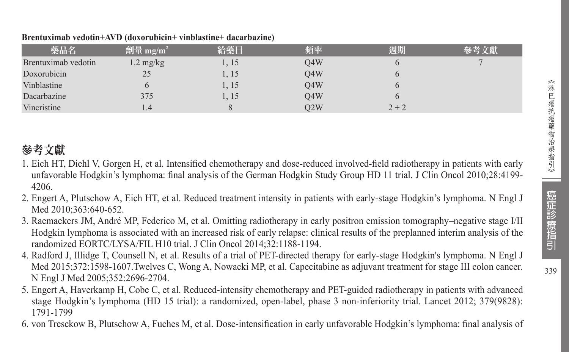339

| 藥品名                 | 劑量 mg/m <sup>2</sup> | 給藥日   | 頻率  | 週期      | 參考文獻 |
|---------------------|----------------------|-------|-----|---------|------|
| Brentuximab vedotin | $1.2 \text{ mg/kg}$  | . 15  | O4W |         |      |
| Doxorubicin         | 25                   | 1, 15 | O4W |         |      |
| Vinblastine         |                      | . 15  | O4W |         |      |
| Dacarbazine         | 375                  | l. 15 | O4W |         |      |
| <b>Vincristine</b>  | 1.4                  |       | O2W | $2 + 2$ |      |

#### **Brentuximab vedotin+AVD (doxorubicin+ vinblastine+ dacarbazine)**

# 參考文獻

- 1. Eich HT, Diehl V, Gorgen H, et al. Intensified chemotherapy and dose-reduced involved-field radiotherapy in patients with early unfavorable Hodgkin's lymphoma: final analysis of the German Hodgkin Study Group HD 11 trial. J Clin Oncol 2010;28:4199- 4206.
- 2. Engert A, Plutschow A, Eich HT, et al. Reduced treatment intensity in patients with early-stage Hodgkin's lymphoma. N Engl J Med 2010;363:640-652.
- 3. Raemaekers JM, André MP, Federico M, et al. Omitting radiotherapy in early positron emission tomography–negative stage I/II Hodgkin lymphoma is associated with an increased risk of early relapse: clinical results of the preplanned interim analysis of the randomized EORTC/LYSA/FIL H10 trial. J Clin Oncol 2014;32:1188-1194.
- 4. Radford J, Illidge T, Counsell N, et al. Results of a trial of PET-directed therapy for early-stage Hodgkin's lymphoma. N Engl J Med 2015;372:1598-1607.Twelves C, Wong A, Nowacki MP, et al. Capecitabine as adjuvant treatment for stage III colon cancer. N Engl J Med 2005;352:2696-2704.
- 5. Engert A, Haverkamp H, Cobe C, et al. Reduced-intensity chemotherapy and PET-guided radiotherapy in patients with advanced stage Hodgkin's lymphoma (HD 15 trial): a randomized, open-label, phase 3 non-inferiority trial. Lancet 2012; 379(9828): 1791-1799
- 6. von Tresckow B, Plutschow A, Fuches M, et al. Dose-intensification in early unfavorable Hodgkin's lymphoma: final analysis of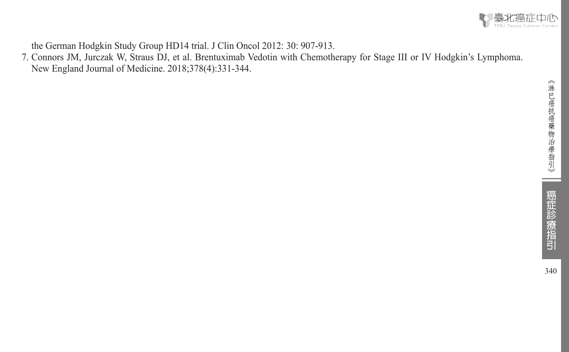

the German Hodgkin Study Group HD14 trial. J Clin Oncol 2012: 30: 907-913.

7. Connors JM, Jurczak W, Straus DJ, et al. Brentuximab Vedotin with Chemotherapy for Stage III or IV Hodgkin's Lymphoma. New England Journal of Medicine. 2018;378(4):331-344.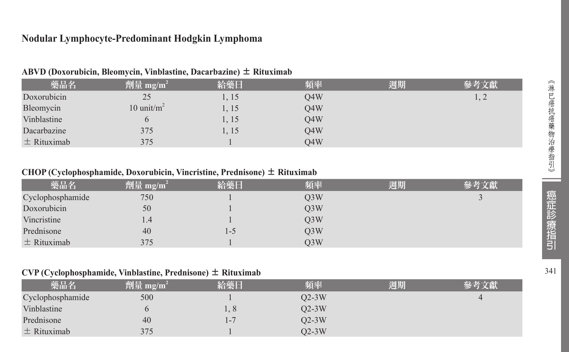# **Nodular Lymphocyte-Predominant Hodgkin Lymphoma**

| 藥品名             | 劑量 mg/m <sup>2</sup> | 給藥日   | 頻率               | 週期 | 參考文獻 |
|-----------------|----------------------|-------|------------------|----|------|
| Doxorubicin     | 25                   | 1, 15 | O4W              |    |      |
| Bleomycin       | 10 unit/ $m^2$       | 1, 15 | O4W              |    |      |
| Vinblastine     |                      | 1, 15 | O <sub>4</sub> W |    |      |
| Dacarbazine     | 375                  | 1, 15 | O4W              |    |      |
| $\pm$ Rituximab | 375                  |       | O4W              |    |      |

#### **ABVD (Doxorubicin, Bleomycin, Vinblastine, Dacarbazine)** ± **Rituximab**

#### **CHOP (Cyclophosphamide, Doxorubicin, Vincristine, Prednisone)** ± **Rituximab**

| 藥品名              | $^7$ 劑量 mg/m <sup>2</sup> | 給藥日 | 頻率               | 週期 | 參考文獻 |
|------------------|---------------------------|-----|------------------|----|------|
| Cyclophosphamide | 750                       |     | O <sub>3</sub> W |    |      |
| Doxorubicin      | 50                        |     | O <sub>3</sub> W |    |      |
| Vincristine      | 1.4                       |     | O3W              |    |      |
| Prednisone       | 40                        | L-5 | O <sub>3</sub> W |    |      |
| $\pm$ Rituximab  | 375                       |     | O3W              |    |      |

### **CVP (Cyclophosphamide, Vinblastine, Prednisone)** ± **Rituximab**

| 藥品名              | 劑量 mg/m <sup>2</sup> | 給藥日     | 頻率      | 週期 | 參考文獻 |
|------------------|----------------------|---------|---------|----|------|
| Cyclophosphamide | 500                  |         | $Q2-3W$ |    |      |
| Vinblastine      |                      | 1,8     | $Q2-3W$ |    |      |
| Prednisone       | 40                   | $1 - 7$ | $Q2-3W$ |    |      |
| $\pm$ Rituximab  | 375                  |         | O2-3W   |    |      |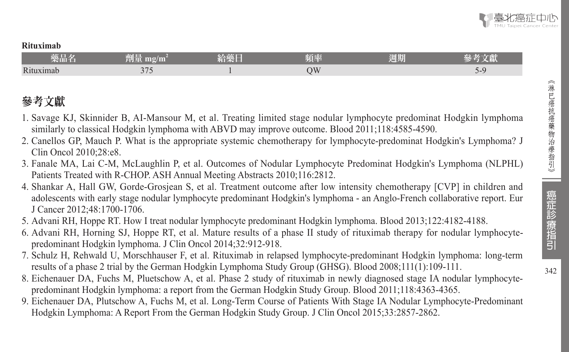#### **Rituximab**

| the property of the control of<br>樂品名 | 图画<br>mg/m<br>m ti       | 給藥日 | 頻率 | 週期 | $-245$  |
|---------------------------------------|--------------------------|-----|----|----|---------|
| Rituximab                             | $\Delta$ $\Box$<br>- ا د |     | DИ |    | $1 - 9$ |

# 參考文獻

- 1. Savage KJ, Skinnider B, AI-Mansour M, et al. Treating limited stage nodular lymphocyte predominat Hodgkin lymphoma similarly to classical Hodgkin lymphoma with ABVD may improve outcome. Blood 2011;118:4585-4590.
- 2. Canellos GP, Mauch P. What is the appropriate systemic chemotherapy for lymphocyte-predominat Hodgkin's Lymphoma? J Clin Oncol 2010;28:e8.
- 3. Fanale MA, Lai C-M, McLaughlin P, et al. Outcomes of Nodular Lymphocyte Predominat Hodgkin's Lymphoma (NLPHL) Patients Treated with R-CHOP. ASH Annual Meeting Abstracts 2010;116:2812.
- 4. Shankar A, Hall GW, Gorde-Grosjean S, et al. Treatment outcome after low intensity chemotherapy [CVP] in children and adolescents with early stage nodular lymphocyte predominant Hodgkin's lymphoma - an Anglo-French collaborative report. Eur J Cancer 2012;48:1700-1706.
- 5. Advani RH, Hoppe RT. How I treat nodular lymphocyte predominant Hodgkin lymphoma. Blood 2013;122:4182-4188.
- 6. Advani RH, Horning SJ, Hoppe RT, et al. Mature results of a phase II study of rituximab therapy for nodular lymphocytepredominant Hodgkin lymphoma. J Clin Oncol 2014;32:912-918.
- 7. Schulz H, Rehwald U, Morschhauser F, et al. Rituximab in relapsed lymphocyte-predominant Hodgkin lymphoma: long-term results of a phase 2 trial by the German Hodgkin Lymphoma Study Group (GHSG). Blood 2008;111(1):109-111.
- 8. Eichenauer DA, Fuchs M, Pluetschow A, et al. Phase 2 study of rituximab in newly diagnosed stage IA nodular lymphocytepredominant Hodgkin lymphoma: a report from the German Hodgkin Study Group. Blood 2011;118:4363-4365.
- 9. Eichenauer DA, Plutschow A, Fuchs M, et al. Long-Term Course of Patients With Stage IA Nodular Lymphocyte-Predominant Hodgkin Lymphoma: A Report From the German Hodgkin Study Group. J Clin Oncol 2015;33:2857-2862.

 $342$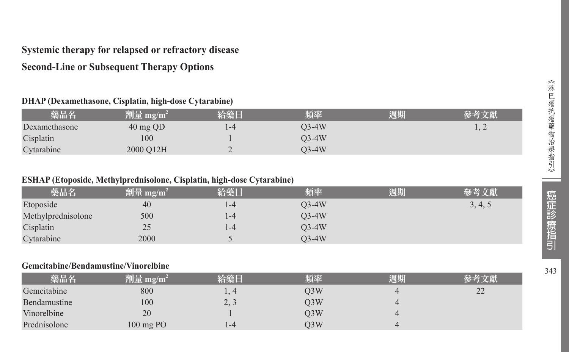# **Systemic therapy for relapsed or refractory disease**

# **Second-Line or Subsequent Therapy Options**

# **DHAP (Dexamethasone, Cisplatin, high-dose Cytarabine)**

| 藥品名           | $^2$ 劑量 mg/m <sup>2</sup> | 給藥日  | 頻率    | 週期 | 參考文獻 |
|---------------|---------------------------|------|-------|----|------|
| Dexamethasone | $40 \text{ mg }$ QD       | . -4 | 03-4W |    |      |
| Cisplatin     | 100                       |      | 03-4W |    |      |
| Cytarabine    | 2000 O12H                 |      | O3-4W |    |      |

### **ESHAP (Etoposide, Methylprednisolone, Cisplatin, high-dose Cytarabine)**

| 藥品名                | 劑量 mg/m $^2$ | 給藥日  | 頻率      | 週期 |         |
|--------------------|--------------|------|---------|----|---------|
| Etoposide          | 40           | 1-4  | $O3-4W$ |    | 3, 4, 5 |
| Methylprednisolone | 500          | l -4 | $O3-4W$ |    |         |
| Cisplatin          | 25           | l -4 | $O3-4W$ |    |         |
| Cytarabine         | 2000         |      | $O3-4W$ |    |         |

### **Gemcitabine/Bendamustine/Vinorelbine**

| 藥品名          | 劑量 mg/m <sup>2</sup> | 給藥日                          | 頻率               | 週期 | 參考文獻                                      |
|--------------|----------------------|------------------------------|------------------|----|-------------------------------------------|
| Gemcitabine  | 800                  |                              | O <sub>3</sub> W |    | $\mathcal{D}$<br>$\overline{\phantom{a}}$ |
| Bendamustine | 100                  | 2 <sub>2</sub><br>$\sim$ , J | O <sub>3</sub> W |    |                                           |
| Vinorelbine  | 20                   |                              | O3W              |    |                                           |
| Prednisolone | $100 \text{ mg }$ PO | $1 - 4$                      | O <sub>3</sub> W |    |                                           |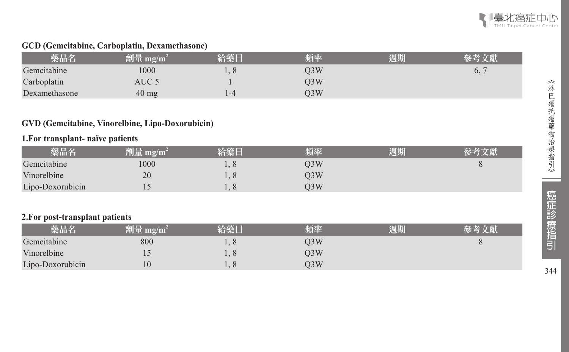

### **GCD (Gemcitabine, Carboplatin, Dexamethasone)**

| 藥品名           | 劑量 mg/m <sup>2</sup> | 給藥日 | 頻率  | 週期 |    |
|---------------|----------------------|-----|-----|----|----|
| Gemcitabine   | 1000                 |     | D3W |    | b, |
| Carboplatin   | AUC 5                |     | D3W |    |    |
| Dexamethasone | $40 \text{ mg}$      | 1-4 | )3W |    |    |

### **GVD (Gemcitabine, Vinorelbine, Lipo-Doxorubicin)**

#### **1.For transplant- naïve patients**

| 藥品名              | 劑量 mg/m $^2$ | 給藥日 | 頻率  | 週期 | 參考文獻 |
|------------------|--------------|-----|-----|----|------|
| Gemcitabine      | 1000         |     | O3W |    |      |
| Vinorelbine      | 20           |     | O3W |    |      |
| Lipo-Doxorubicin |              |     | O3W |    |      |

### **2.For post-transplant patients**

| 藥品名              | 劑量 mg/m $^{\rm 2}$ | 給藥日  | 頻率  | 週期 | 參考文獻 |
|------------------|--------------------|------|-----|----|------|
| Gemcitabine      | 800                | 1, 0 | O3W |    |      |
| Vinorelbine      |                    |      | O3W |    |      |
| Lipo-Doxorubicin | 10                 |      | 03W |    |      |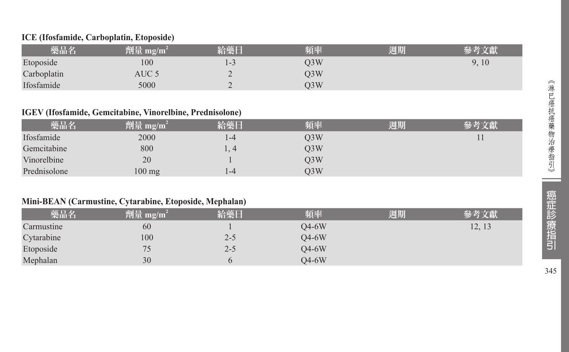### **ICE (Ifosfamide, Carboplatin, Etoposide)**

| 藥品名         | 劑量 mg/m <sup>2</sup> | 給藥日 | 頻率  | 週期 |       |
|-------------|----------------------|-----|-----|----|-------|
| Etoposide   | 100                  | د-ا | O3W |    | 9, 10 |
| Carboplatin | AUC 5                | -   | O3W |    |       |
| Ifosfamide  | 5000                 |     | O3W |    |       |

#### **IGEV (Ifosfamide, Gemcitabine, Vinorelbine, Prednisolone)**

| 藥品名          | 劑量 mg/m <sup>2</sup> | 給藥日  | 頻率               | 週期 | 參考文獻 |
|--------------|----------------------|------|------------------|----|------|
| Ifosfamide   | 2000                 | 1-4  | O3W              |    |      |
| Gemcitabine  | 800                  | 1, 4 | O3W              |    |      |
| Vinorelbine  | 20                   |      | O <sub>3</sub> W |    |      |
| Prednisolone | 100 mg               | 1-4  | O3W              |    |      |

### **Mini-BEAN (Carmustine, Cytarabine, Etoposide, Mephalan)**

| 藥品名        | 劑量 mg/m <sup>2</sup> | 給藥日     | 頻率      | 週期 | 參考文獻   |
|------------|----------------------|---------|---------|----|--------|
| Carmustine | 60                   |         | $O4-6W$ |    | 12, 13 |
| Cytarabine | 100                  | 2-5     | $O4-6W$ |    |        |
| Etoposide  | 75                   | $2 - 5$ | $O4-6W$ |    |        |
| Mephalan   | 30                   |         | $O4-6W$ |    |        |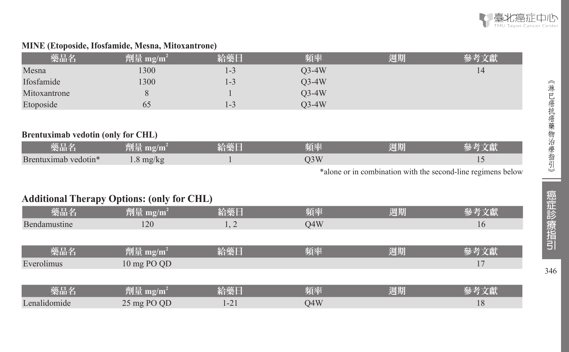

### **MINE (Etoposide, Ifosfamide, Mesna, Mitoxantrone)**

| 藥品名          | 劑量 mg/m <sup>2</sup> | 給藥日     | 頻率      | 週期 | 參考文獻 |
|--------------|----------------------|---------|---------|----|------|
| Mesna        | 1300                 | $1 - 3$ | $O3-4W$ |    | 14   |
| Ifosfamide   | 1300                 | $1-3$   | $O3-4W$ |    |      |
| Mitoxantrone |                      |         | $O3-4W$ |    |      |
| Etoposide    | 65                   | 1-3     | $O3-4W$ |    |      |

#### **Brentuximab vedotin (only for CHL)**

| 藥品名                  | 劑量 mg/m $^2$        | 給藥日 | 頻率  | 週期 |  |
|----------------------|---------------------|-----|-----|----|--|
| Brentuximab vedotin* | $1.8 \text{ mg/kg}$ |     | J3W |    |  |

\*alone or in combination with the second-line regimens below

# **Additional Therapy Options: (only for CHL)**

| 藥品名          | <b>劑量</b> mg/m <sup>2</sup> | 給藥日  | 頻率  | 週期 | 參考文獻 |
|--------------|-----------------------------|------|-----|----|------|
| Bendamustine | 120                         | 1, 2 | O4W |    | 16   |
|              |                             |      |     |    |      |
| 藥品名          | 劑量 mg/m <sup>2</sup>        | 給藥日  | 頻率  | 週期 | 參考文獻 |
| Everolimus   | 10 mg PO QD                 |      |     |    | 17   |
|              |                             |      |     |    |      |
| 藥品名          | 劑量 mg/m <sup>2</sup>        | 給藥日  | 頻率  | 週期 | 參考文獻 |
| Lenalidomide | 25 mg PO QD                 | 1-21 | Q4W |    | 18   |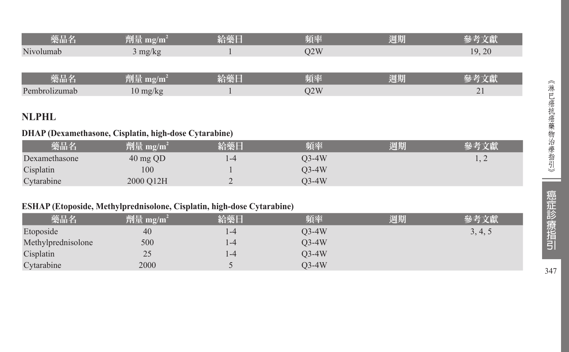| 樂品名       | 劑量 mg/m $^2$ | 給藥日 | 頻率  | 週期 |        |
|-----------|--------------|-----|-----|----|--------|
| Nivolumab | 3 mg/kg      |     | J2W |    | 19, 20 |
|           |              |     |     |    |        |

| 柴而彳           | $\mathbf{m}\mathbf{g}/\mathbf{m}$<br>AN LIF | VA 211.<br>KBS I<br>. | 頻率 | 週期 |        |
|---------------|---------------------------------------------|-----------------------|----|----|--------|
| Pembrolizumab | l () mg/kg                                  |                       |    |    | $\sim$ |

# **NLPHL**

# **DHAP (Dexamethasone, Cisplatin, high-dose Cytarabine)**

| 藥品名           | 劑量 mg/m <sup>2</sup> | 給藥日 | 頻率    | 週期 | 參考文獻 |
|---------------|----------------------|-----|-------|----|------|
| Dexamethasone | $40 \text{ mg }$ QD  | -4  | 03-4W |    | 1, 2 |
| Cisplatin     | 100                  |     | 03-4W |    |      |
| Cytarabine    | 2000 O12H            |     | 03-4W |    |      |

# **ESHAP (Etoposide, Methylprednisolone, Cisplatin, high-dose Cytarabine)**

| 藥品名                | 劑量 mg/m <sup>2</sup> | 給藥日  | 頻率      | 週期 | 參考文獻    |
|--------------------|----------------------|------|---------|----|---------|
| Etoposide          | 40                   | l -4 | O3-4W   |    | 3, 4, 5 |
| Methylprednisolone | 500                  | l -4 | $O3-4W$ |    |         |
| Cisplatin          | 25                   | l -4 | $O3-4W$ |    |         |
| Cytarabine         | 2000                 |      | O3-4W   |    |         |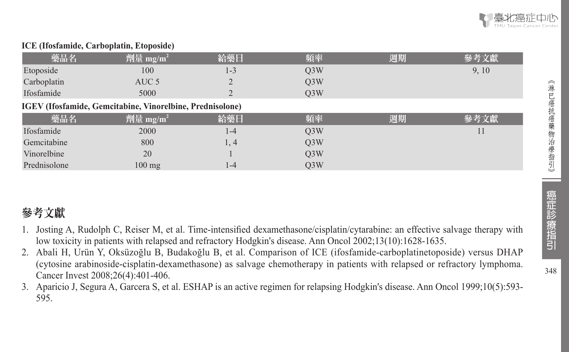

#### **ICE (Ifosfamide, Carboplatin, Etoposide)**

| 藥品名          | 劑量 mg/m <sup>2</sup>                                             | 給藥日     | 頻率               | 週期 | 參考文獻  |
|--------------|------------------------------------------------------------------|---------|------------------|----|-------|
| Etoposide    | 100                                                              | $1 - 3$ | Q <sub>3</sub> W |    | 9, 10 |
| Carboplatin  | AUC 5                                                            |         | O <sub>3</sub> W |    |       |
| Ifosfamide   | 5000                                                             |         | O <sub>3</sub> W |    |       |
|              | <b>IGEV</b> (Ifosfamide, Gemcitabine, Vinorelbine, Prednisolone) |         |                  |    |       |
| 藥品名          | 劑量 mg/m <sup>2</sup>                                             | 給藥日     | 頻率               | 週期 | 參考文獻  |
| Ifosfamide   | 2000                                                             | 1-4     | O <sub>3</sub> W |    | 11    |
| Gemcitabine  | 800                                                              | 1, 4    | O <sub>3</sub> W |    |       |
| Vinorelbine  | 20                                                               |         | O <sub>3</sub> W |    |       |
| Prednisolone | $100 \text{ mg}$                                                 | 1-4     | O <sub>3</sub> W |    |       |

# 參考文獻

- 1. Josting A, Rudolph C, Reiser M, et al. Time-intensified dexamethasone/cisplatin/cytarabine: an effective salvage therapy with low toxicity in patients with relapsed and refractory Hodgkin's disease. Ann Oncol 2002;13(10):1628-1635.
- 2. Abali H, Urün Y, Oksüzoğlu B, Budakoğlu B, et al. Comparison of ICE (ifosfamide-carboplatinetoposide) versus DHAP (cytosine arabinoside-cisplatin-dexamethasone) as salvage chemotherapy in patients with relapsed or refractory lymphoma. Cancer Invest 2008;26(4):401-406.
- 3. Aparicio J, Segura A, Garcera S, et al. ESHAP is an active regimen for relapsing Hodgkin's disease. Ann Oncol 1999;10(5):593- 595.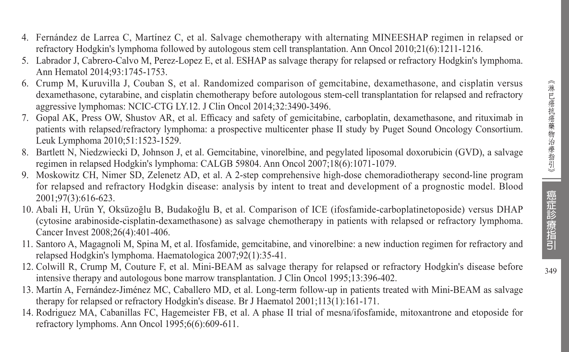- 4. Fernández de Larrea C, Martínez C, et al. Salvage chemotherapy with alternating MINEESHAP regimen in relapsed or refractory Hodgkin's lymphoma followed by autologous stem cell transplantation. Ann Oncol 2010;21(6):1211-1216.
- 5. Labrador J, Cabrero-Calvo M, Perez-Lopez E, et al. ESHAP as salvage therapy for relapsed or refractory Hodgkin's lymphoma. Ann Hematol 2014;93:1745-1753.
- 6. Crump M, Kuruvilla J, Couban S, et al. Randomized comparison of gemcitabine, dexamethasone, and cisplatin versus dexamethasone, cytarabine, and cisplatin chemotherapy before autologous stem-cell transplantation for relapsed and refractory aggressive lymphomas: NCIC-CTG LY.12. J Clin Oncol 2014;32:3490-3496.
- 7. Gopal AK, Press OW, Shustov AR, et al. Efficacy and safety of gemicitabine, carboplatin, dexamethasone, and rituximab in patients with relapsed/refractory lymphoma: a prospective multicenter phase II study by Puget Sound Oncology Consortium. Leuk Lymphoma 2010;51:1523-1529.
- 8. Bartlett N, Niedzwiecki D, Johnson J, et al. Gemcitabine, vinorelbine, and pegylated liposomal doxorubicin (GVD), a salvage regimen in relapsed Hodgkin's lymphoma: CALGB 59804. Ann Oncol 2007;18(6):1071-1079.
- 9. Moskowitz CH, Nimer SD, Zelenetz AD, et al. A 2-step comprehensive high-dose chemoradiotherapy second-line program for relapsed and refractory Hodgkin disease: analysis by intent to treat and development of a prognostic model. Blood 2001;97(3):616-623.
- 10. Abali H, Urün Y, Oksüzoğlu B, Budakoğlu B, et al. Comparison of ICE (ifosfamide-carboplatinetoposide) versus DHAP (cytosine arabinoside-cisplatin-dexamethasone) as salvage chemotherapy in patients with relapsed or refractory lymphoma. Cancer Invest 2008;26(4):401-406.
- 11. Santoro A, Magagnoli M, Spina M, et al. Ifosfamide, gemcitabine, and vinorelbine: a new induction regimen for refractory and relapsed Hodgkin's lymphoma. Haematologica 2007;92(1):35-41.
- 12. Colwill R, Crump M, Couture F, et al. Mini-BEAM as salvage therapy for relapsed or refractory Hodgkin's disease before intensive therapy and autologous bone marrow transplantation. J Clin Oncol 1995;13:396-402.
- 13. Martín A, Fernández-Jiménez MC, Caballero MD, et al. Long-term follow-up in patients treated with Mini-BEAM as salvage therapy for relapsed or refractory Hodgkin's disease. Br J Haematol 2001;113(1):161-171.
- 14. Rodriguez MA, Cabanillas FC, Hagemeister FB, et al. A phase II trial of mesna/ifosfamide, mitoxantrone and etoposide for refractory lymphoms. Ann Oncol 1995;6(6):609-611.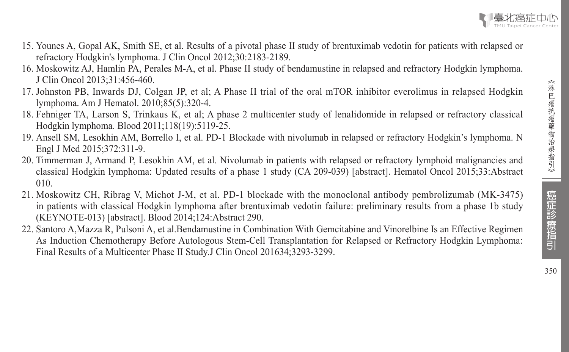

- 15. Younes A, Gopal AK, Smith SE, et al. Results of a pivotal phase II study of brentuximab vedotin for patients with relapsed or refractory Hodgkin's lymphoma. J Clin Oncol 2012;30:2183-2189.
- 16. Moskowitz AJ, Hamlin PA, Perales M-A, et al. Phase II study of bendamustine in relapsed and refractory Hodgkin lymphoma. J Clin Oncol 2013;31:456-460.
- 17. Johnston PB, Inwards DJ, Colgan JP, et al; A Phase II trial of the oral mTOR inhibitor everolimus in relapsed Hodgkin lymphoma. Am J Hematol. 2010;85(5):320-4.
- 18. Fehniger TA, Larson S, Trinkaus K, et al; A phase 2 multicenter study of lenalidomide in relapsed or refractory classical Hodgkin lymphoma. Blood 2011;118(19):5119-25.
- 19. Ansell SM, Lesokhin AM, Borrello I, et al. PD-1 Blockade with nivolumab in relapsed or refractory Hodgkin's lymphoma. N Engl J Med 2015;372:311-9.
- 20. Timmerman J, Armand P, Lesokhin AM, et al. Nivolumab in patients with relapsed or refractory lymphoid malignancies and classical Hodgkin lymphoma: Updated results of a phase 1 study (CA 209-039) [abstract]. Hematol Oncol 2015;33:Abstract 010.
- 21. Moskowitz CH, Ribrag V, Michot J-M, et al. PD-1 blockade with the monoclonal antibody pembrolizumab (MK-3475) in patients with classical Hodgkin lymphoma after brentuximab vedotin failure: preliminary results from a phase 1b study (KEYNOTE-013) [abstract]. Blood 2014;124:Abstract 290.
- 22. Santoro A,Mazza R, Pulsoni A, et al.Bendamustine in Combination With Gemcitabine and Vinorelbine Is an Effective Regimen As Induction Chemotherapy Before Autologous Stem-Cell Transplantation for Relapsed or Refractory Hodgkin Lymphoma: Final Results of a Multicenter Phase II Study.J Clin Oncol 201634;3293-3299.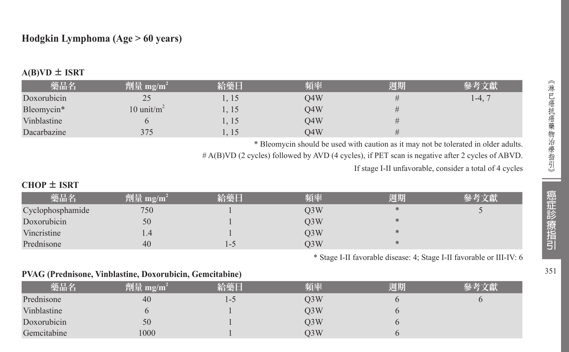# **Hodgkin Lymphoma (Age > 60 years)**

| 藥品名         | 劑量 mg/m $^2$   | 給藥日   | 頻率  | 週期 | 參考文獻              |
|-------------|----------------|-------|-----|----|-------------------|
| Doxorubicin | 25             | 1, 15 | O4W |    | $1-4$ , $\degree$ |
| Bleomycin*  | 10 unit/ $m^2$ | 1, 15 | O4W |    |                   |
| Vinblastine |                | 1, 15 | O4W |    |                   |
| Dacarbazine | 375            | 15    | O4W | #  |                   |

# $A(B)VD \pm ISRT$

\* Bleomycin should be used with caution as it may not be tolerated in older adults.

# A(B)VD (2 cycles) followed by AVD (4 cycles), if PET scan is negative after 2 cycles of ABVD.

If stage I-II unfavorable, consider a total of 4 cycles

### **CHOP** ± **ISRT**

| 藥品名              | 劑量 mg/m <sup>2</sup> | 給藥日   | 頻率               | 週期 | 參考文獻 |
|------------------|----------------------|-------|------------------|----|------|
| Cyclophosphamide | 750                  |       | O <sub>3</sub> W | ∗  |      |
| Doxorubicin      | 50                   |       | O <sub>3</sub> W | ∗  |      |
| Vincristine      | 1.4                  |       | O <sub>3</sub> W | ∗  |      |
| Prednisone       | 40                   | l - 3 | O3W              |    |      |

\* Stage I-II favorable disease: 4; Stage I-II favorable or III-IV: 6

#### **PVAG (Prednisone, Vinblastine, Doxorubicin, Gemcitabine)**

| 藥品名         | 劑量 mg/m <sup>2</sup> | 給藥日 | 頻率  | 週期 | <b> 參考文獻 </b> |
|-------------|----------------------|-----|-----|----|---------------|
| Prednisone  | 40                   | I-C | O3W |    |               |
| Vinblastine |                      |     | O3W |    |               |
| Doxorubicin | 50                   |     | O3W |    |               |
| Gemcitabine | 1000                 |     | O3W |    |               |

351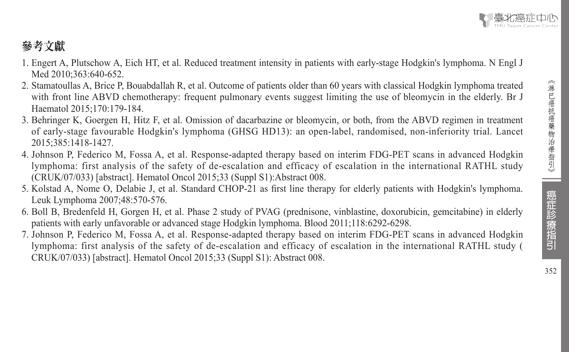# 參考文獻

- 1. Engert A, Plutschow A, Eich HT, et al. Reduced treatment intensity in patients with early-stage Hodgkin's lymphoma. N Engl J Med 2010;363:640-652.
- 2. Stamatoullas A, Brice P, Bouabdallah R, et al. Outcome of patients older than 60 years with classical Hodgkin lymphoma treated with front line ABVD chemotherapy: frequent pulmonary events suggest limiting the use of bleomycin in the elderly. Br J Haematol 2015;170:179-184.
- 3. Behringer K, Goergen H, Hitz F, et al. Omission of dacarbazine or bleomycin, or both, from the ABVD regimen in treatment of early-stage favourable Hodgkin's lymphoma (GHSG HD13): an open-label, randomised, non-inferiority trial. Lancet 2015;385:1418-1427.
- 4. Johnson P, Federico M, Fossa A, et al. Response-adapted therapy based on interim FDG-PET scans in advanced Hodgkin lymphoma: first analysis of the safety of de-escalation and efficacy of escalation in the international RATHL study (CRUK/07/033) [abstract]. Hematol Oncol 2015;33 (Suppl S1):Abstract 008.
- 5. Kolstad A, Nome O, Delabie J, et al. Standard CHOP-21 as first line therapy for elderly patients with Hodgkin's lymphoma. Leuk Lymphoma 2007;48:570-576.
- 6. Boll B, Bredenfeld H, Gorgen H, et al. Phase 2 study of PVAG (prednisone, vinblastine, doxorubicin, gemcitabine) in elderly patients with early unfavorable or advanced stage Hodgkin lymphoma. Blood 2011;118:6292-6298.
- 7. Johnson P, Federico M, Fossa A, et al. Response-adapted therapy based on interim FDG-PET scans in advanced Hodgkin lymphoma: first analysis of the safety of de-escalation and efficacy of escalation in the international RATHL study ( CRUK/07/033) [abstract]. Hematol Oncol 2015;33 (Suppl S1): Abstract 008.

癌症診療指引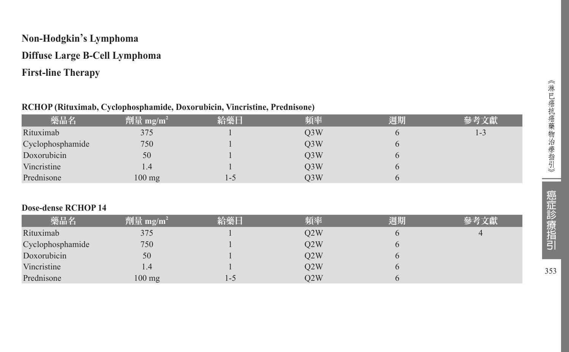# **Non-Hodgkin's Lymphoma Diffuse Large B-Cell Lymphoma First-line Therapy**

### **RCHOP (Rituximab, Cyclophosphamide, Doxorubicin, Vincristine, Prednisone)**

| 藥品名              | 劑量 mg/m <sup>2</sup> | 給藥日 | 頻率               | 週期 | 參考文獻    |
|------------------|----------------------|-----|------------------|----|---------|
| Rituximab        | 375                  |     | Q <sub>3</sub> W | 6  | $1 - 3$ |
| Cyclophosphamide | 750                  |     | Q <sub>3</sub> W | 6  |         |
| Doxorubicin      | 50                   |     | Q <sub>3</sub> W | h  |         |
| Vincristine      | 1.4                  |     | Q <sub>3</sub> W | O  |         |
| Prednisone       | $100$ mg             | 1-5 | Q <sub>3</sub> W |    |         |
|                  |                      |     |                  |    |         |
|                  |                      |     |                  |    |         |

# **Dose-dense RCHOP 14**

| 藥品名              | 劑量 mg/m <sup>2</sup> | 給藥日  | 頻率  | 週期 |  |
|------------------|----------------------|------|-----|----|--|
| Rituximab        | 375                  |      | O2W |    |  |
| Cyclophosphamide | 750                  |      | Q2W |    |  |
| Doxorubicin      | 50                   |      | O2W |    |  |
| Vincristine      | 1.4                  |      | Q2W |    |  |
| Prednisone       | $100$ mg             | د− ا | O2W |    |  |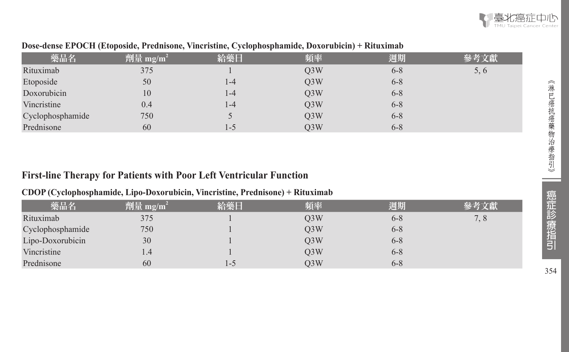| 藥品名              | 劑量 mg/m <sup>2</sup> | 給藥日 | 頻率               | 週期      | 參考文獻 |
|------------------|----------------------|-----|------------------|---------|------|
| Rituximab        | 375                  |     | O <sub>3</sub> W | $6 - 8$ | 5, 6 |
| Etoposide        | 50                   | 1-4 | Q <sub>3</sub> W | $6 - 8$ |      |
| Doxorubicin      | 10                   | 1-4 | Q <sub>3</sub> W | $6 - 8$ |      |
| Vincristine      | 0.4                  | 1-4 | Q3W              | $6 - 8$ |      |
| Cyclophosphamide | 750                  |     | O3W              | $6 - 8$ |      |
| Prednisone       | 60                   | 1-5 | O <sub>3</sub> W | $6 - 8$ |      |

### **Dose-dense EPOCH (Etoposide, Prednisone, Vincristine, Cyclophosphamide, Doxorubicin) + Rituximab**

# **First-line Therapy for Patients with Poor Left Ventricular Function**

### **CDOP (Cyclophosphamide, Lipo-Doxorubicin, Vincristine, Prednisone) + Rituximab**

| 藥品名              | 劑量 mg/m <sup>2</sup> | 給藥日 | 頻率  | 週期      | 參考文獻 |
|------------------|----------------------|-----|-----|---------|------|
| Rituximab        | 375                  |     | O3W | $6 - 8$ | 7, 8 |
| Cyclophosphamide | 750                  |     | O3W | $6 - 8$ |      |
| Lipo-Doxorubicin | 30                   |     | O3W | $6 - 8$ |      |
| Vincristine      | $4.4^{\circ}$        |     | O3W | $6 - 8$ |      |
| Prednisone       | 60                   | L-J | O3W | $6 - 8$ |      |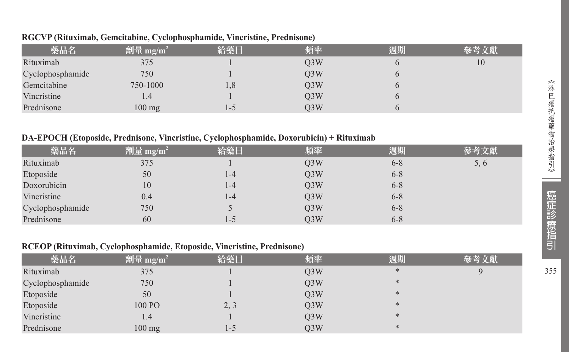| 藥品名              | 劑量 mg/m <sup>2</sup> | 給藥日 | 頻率               | 週期 | 參考文獻 |
|------------------|----------------------|-----|------------------|----|------|
| Rituximab        | 375                  |     | O <sub>3</sub> W |    | 10   |
| Cyclophosphamide | 750                  |     | O <sub>3</sub> W |    |      |
| Gemcitabine      | 750-1000             | 1,8 | O <sub>3</sub> W |    |      |
| Vincristine      | 1.4                  |     | O <sub>3</sub> W |    |      |
| Prednisone       | $100$ mg             | 1-C | O <sub>3</sub> W |    |      |

#### **RGCVP (Rituximab, Gemcitabine, Cyclophosphamide, Vincristine, Prednisone)**

#### **DA-EPOCH (Etoposide, Prednisone, Vincristine, Cyclophosphamide, Doxorubicin) + Rituximab**

| 藥品名              | 劑量 mg/m <sup>2</sup> | 給藥日 | 頻率               | 週期      | 參考文獻 |
|------------------|----------------------|-----|------------------|---------|------|
| Rituximab        | 375                  |     | O <sub>3</sub> W | $6 - 8$ | 5, 6 |
| Etoposide        | 50                   | 1-4 | Q <sub>3</sub> W | $6 - 8$ |      |
| Doxorubicin      | 10                   | 1-4 | O3W              | $6 - 8$ |      |
| Vincristine      | 0.4                  | 1-4 | O3W              | $6 - 8$ |      |
| Cyclophosphamide | 750                  |     | Q3W              | $6 - 8$ |      |
| Prednisone       | 60                   | 1-5 | O <sub>3</sub> W | $6 - 8$ |      |

#### **RCEOP (Rituximab, Cyclophosphamide, Etoposide, Vincristine, Prednisone)**

| 藥品名              | 劑量 mg/m <sup>2</sup> | 給藥日  | 頻率               | 週期     | 參考文獻 |
|------------------|----------------------|------|------------------|--------|------|
| Rituximab        | 375                  |      | Q <sub>3</sub> W | $\ast$ |      |
| Cyclophosphamide | 750                  |      | Q3W              | $*$    |      |
| Etoposide        | 50                   |      | Q3W              | $*$    |      |
| Etoposide        | 100 PO               | 2, 3 | Q3W              | $*$    |      |
| Vincristine      | 1.4                  |      | Q3W              | $*$    |      |
| Prednisone       | $100$ mg             | l-5  | Q3W              | *      |      |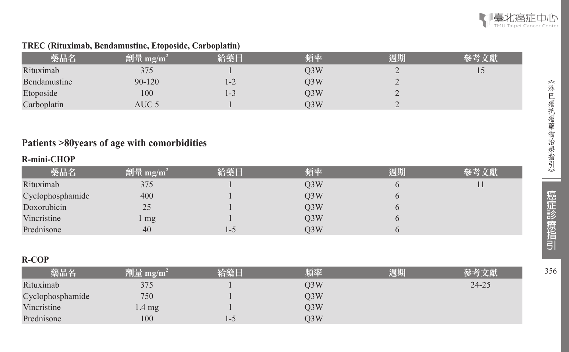

# **TREC (Rituximab, Bendamustine, Etoposide, Carboplatin)**

| 藥品名          | 劑量 mg/m $^2$ | 給藥日   | 頃率  | 週期 |                |
|--------------|--------------|-------|-----|----|----------------|
| Rituximab    | 375          |       | O3W | ∼  | $\overline{ }$ |
| Bendamustine | $90 - 120$   | $1-2$ | Q3W |    |                |
| Etoposide    | 100          | ن - ا | Q3W | ∼  |                |
| Carboplatin  | AUC 5        |       | O3W |    |                |

# **Patients >80years of age with comorbidities**

# **R-mini-CHOP**

| 藥品名              | 劑量 mg/m <sup>2</sup> | 給藥日     | 頻率  | 週期 | 參考文獻 |
|------------------|----------------------|---------|-----|----|------|
| Rituximab        | 375                  |         | O3W |    |      |
| Cyclophosphamide | 400                  |         | O3W |    |      |
| Doxorubicin      | 25                   |         | O3W |    |      |
| Vincristine      | mg                   |         | O3W |    |      |
| Prednisone       | 40                   | $1 - 5$ | O3W |    |      |

#### **R-COP**

| 藥品名              | 劑量 mg/m <sup>2</sup> | 給藥日 | 頻率  | 週期 | 參考文獻      |
|------------------|----------------------|-----|-----|----|-----------|
| Rituximab        | 375                  |     | O3W |    | $24 - 25$ |
| Cyclophosphamide | 750                  |     | O3W |    |           |
| Vincristine      | 1.4 mg               |     | O3W |    |           |
| Prednisone       | 100                  | 1-C | O3W |    |           |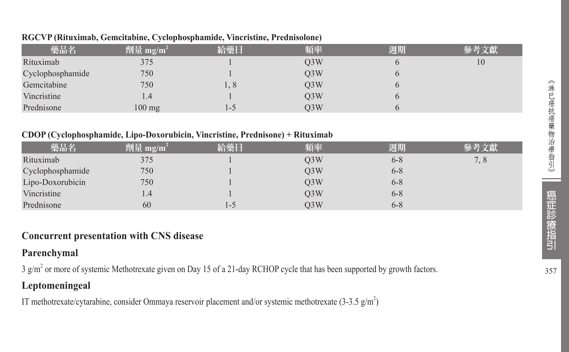| 藥品名              | $ \hat{p}$ [ ] mg/m <sup>2</sup> | 給藥日 | 頻率               | 週期 | 參考文獻 |
|------------------|----------------------------------|-----|------------------|----|------|
| Rituximab        | 375                              |     | O <sub>3</sub> W |    | 10   |
| Cyclophosphamide | 750                              |     | O <sub>3</sub> W |    |      |
| Gemcitabine      | 750                              | 1.8 | O <sub>3</sub> W |    |      |
| Vincristine      | 1.4                              |     | O3W              |    |      |
| Prednisone       | $100$ mg                         | l-5 | O3W              |    |      |

#### **RGCVP (Rituximab, Gemcitabine, Cyclophosphamide, Vincristine, Prednisolone)**

### **CDOP (Cyclophosphamide, Lipo-Doxorubicin, Vincristine, Prednisone) + Rituximab**

| 藥品名              | 劑量 mg/m <sup>2</sup> | 給藥日 | 頻率               | 週期      | 參考文獻 |
|------------------|----------------------|-----|------------------|---------|------|
| Rituximab        | 375                  |     | O <sub>3</sub> W | $6 - 8$ | 7, 8 |
| Cyclophosphamide | 750                  |     | O <sub>3</sub> W | $6 - 8$ |      |
| Lipo-Doxorubicin | 750                  |     | O <sub>3</sub> W | $6 - 8$ |      |
| Vincristine      | 1.4                  |     | O <sub>3</sub> W | $6 - 8$ |      |
| Prednisone       | 60                   | l-5 | O3W              | 6-8     |      |

# **Concurrent presentation with CNS disease**

# **Parenchymal**

3 g/m2 or more of systemic Methotrexate given on Day 15 of a 21-day RCHOP cycle that has been supported by growth factors.

# **Leptomeningeal**

IT methotrexate/cytarabine, consider Ommaya reservoir placement and/or systemic methotrexate  $(3-3.5 \text{ g/m}^2)$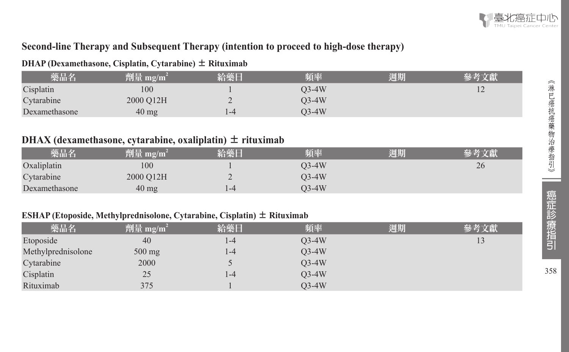

# **Second-line Therapy and Subsequent Therapy (intention to proceed to high-dose therapy)**

### **DHAP (Dexamethasone, Cisplatin, Cytarabine)** ± **Rituximab**

| 藥品名           | 劑量 mg/m $^{\rm 2}$ | 給藥日                      | 頻率    | 週期 |                |
|---------------|--------------------|--------------------------|-------|----|----------------|
| Cisplatin     | 100                |                          | O3-4W |    | $\overline{1}$ |
| Cytarabine    | 2000 O12H          | $\overline{\phantom{0}}$ | O3-4W |    |                |
| Dexamethasone | $40 \text{ mg}$    | 1-4                      | O3-4W |    |                |

# **DHAX** (dexamethasone, cytarabine, oxaliplatin)  $\pm$  rituximab

| 藥品名           | 劑量 mg/m <sup>2</sup> | 給藥日  | 頃率    | 週期 | 參考文獻 |
|---------------|----------------------|------|-------|----|------|
| Oxaliplatin   | 100                  |      | 03-4W |    | 26   |
| Cytarabine    | 2000 O12H            |      | O3-4W |    |      |
| Dexamethasone | $40 \text{ mg}$      | $-4$ | O3-4W |    |      |

### **ESHAP (Etoposide, Methylprednisolone, Cytarabine, Cisplatin)** ± **Rituximab**

| 藥品名                | 劑量 mg/m <sup>2</sup> | 給藥日  | 頻率      | 週期 | 參考文獻 |
|--------------------|----------------------|------|---------|----|------|
| Etoposide          | 40                   | l -4 | $O3-4W$ |    | 13   |
| Methylprednisolone | 500 mg               | l -4 | $O3-4W$ |    |      |
| Cytarabine         | 2000                 |      | $O3-4W$ |    |      |
| Cisplatin          | 25                   | l -4 | $O3-4W$ |    |      |
| Rituximab          | 375                  |      | $O3-4W$ |    |      |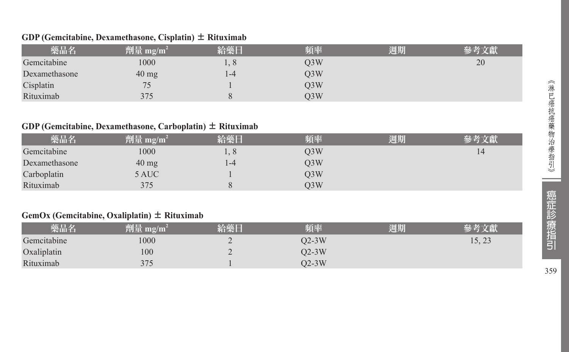#### **GDP (Gemcitabine, Dexamethasone, Cisplatin)**  ± **Rituximab**

| 藥品名           | 劑量 mg/m <sup>2</sup> | 給藥日        | 頻率  | 週期 |    |
|---------------|----------------------|------------|-----|----|----|
| Gemcitabine   | 1000                 | $1, 8^{-}$ | O3W |    | 20 |
| Dexamethasone | $40 \text{ mg}$      | $1 - 4$    | O3W |    |    |
| Cisplatin     | 75<br>ر ،            |            | O3W |    |    |
| Rituximab     | 375                  |            | O3W |    |    |

#### **GDP (Gemcitabine, Dexamethasone, Carboplatin)**  ± **Rituximab**

| 藥品名           | 劑量 mg/m <sup>2</sup> | 給藥日 | 頻率               | 週期 | 參考文獻 |
|---------------|----------------------|-----|------------------|----|------|
| Gemcitabine   | 1000                 | 1.8 | Q3W              |    | 14   |
| Dexamethasone | $40 \text{ mg}$      | 1-4 | O <sub>3</sub> W |    |      |
| Carboplatin   | 5 AUC                |     | O3W              |    |      |
| Rituximab     | 375                  |     | O3W              |    |      |

#### **GemOx (Gemcitabine, Oxaliplatin)**  ± **Rituximab**

| 藥品名         | 劑量<br>mg/m | 給藥 | 頻率    | 週期 |        |
|-------------|------------|----|-------|----|--------|
| Gemcitabine | 1000       | -  | 02-3W |    | 1J, 2J |
| Oxaliplatin | 100        | ∠  | 02-3W |    |        |
| Rituximab   | 375        |    | 02-3W |    |        |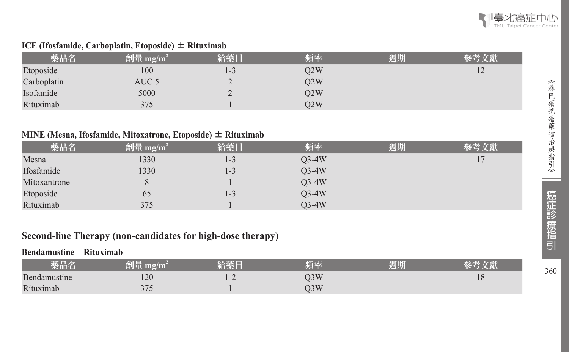

### **ICE (Ifosfamide, Carboplatin, Etoposide)** ± **Rituximab**

| 藥品名         | $ \hat{p} \hat{p} \leq m_2/m^2$ | 給藥日 | 頻率  | 週期 | 參考文獻           |
|-------------|---------------------------------|-----|-----|----|----------------|
| Etoposide   | 100                             | 1-3 | O2W |    | $\overline{1}$ |
| Carboplatin | AUC 5                           |     | O2W |    |                |
| Isofamide   | 5000                            |     | Q2W |    |                |
| Rituximab   | 375                             |     | O2W |    |                |

### **MINE (Mesna, Ifosfamide, Mitoxatrone, Etoposide)** ± **Rituximab**

| 藥品名          | 劑量 mg/m <sup>2</sup> | 給藥日   | 頻率      | 週期 | 參考文獻 |
|--------------|----------------------|-------|---------|----|------|
| Mesna        | 1330                 | $1-3$ | $Q3-4W$ |    | 17   |
| Ifosfamide   | 1330                 | 1-3   | $O3-4W$ |    |      |
| Mitoxantrone |                      |       | $Q3-4W$ |    |      |
| Etoposide    | 65                   | 1-3   | $Q3-4W$ |    |      |
| Rituximab    | 375                  |       | $O3-4W$ |    |      |

# **Second-line Therapy (non-candidates for high-dose therapy)**

# **Bendamustine + Rituximab**

| 樂品名          | 結正<br>,削量 mg/m | _____   | 陌丞  | 调期 |    |
|--------------|----------------|---------|-----|----|----|
| Bendamustine | 120            | $1 - 2$ | )3W |    | 10 |
| Rituximab    | 275<br>J/J     |         | )3W |    |    |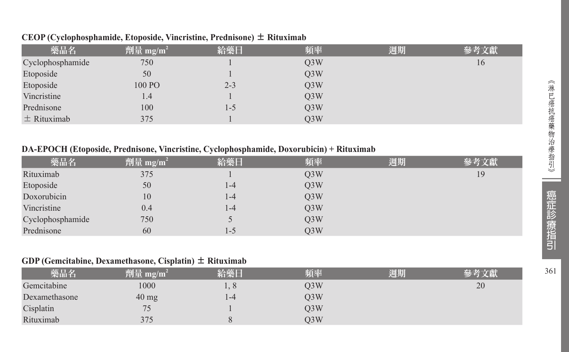| 藥品名              | 劑量 mg/m <sup>2</sup> | 給藥日     | 頻率               | 週期 | 參考文獻 |
|------------------|----------------------|---------|------------------|----|------|
| Cyclophosphamide | 750                  |         | Q <sub>3</sub> W |    | 16   |
| Etoposide        | 50                   |         | O <sub>3</sub> W |    |      |
| Etoposide        | 100 PO               | $2 - 3$ | Q <sub>3</sub> W |    |      |
| Vincristine      | 1.4                  |         | Q <sub>3</sub> W |    |      |
| Prednisone       | 100                  | 1-5     | Q <sub>3</sub> W |    |      |
| $\pm$ Rituximab  | 375                  |         | O <sub>3</sub> W |    |      |

#### **CEOP (Cyclophosphamide, Etoposide, Vincristine, Prednisone)** ± **Rituximab**

### **DA-EPOCH (Etoposide, Prednisone, Vincristine, Cyclophosphamide, Doxorubicin) + Rituximab**

| 藥品名              | 劑量 mg/m <sup>2</sup> | 給藥日   | 頻率               | 週期 | 參考文獻 |
|------------------|----------------------|-------|------------------|----|------|
| Rituximab        | 375                  |       | O <sub>3</sub> W |    | 19   |
| Etoposide        | 50                   | 1-4   | Q3W              |    |      |
| Doxorubicin      | 10                   | $1-4$ | Q3W              |    |      |
| Vincristine      | 0.4                  | $1-4$ | Q3W              |    |      |
| Cyclophosphamide | 750                  |       | O <sub>3</sub> W |    |      |
| Prednisone       | 60                   | - 1   | O3W              |    |      |

### **GDP (Gemcitabine, Dexamethasone, Cisplatin)** ± **Rituximab**

| 藥品名           | 劑量 mg/m <sup>2</sup> | 給藥日 | 頻率               | 週期 |    |
|---------------|----------------------|-----|------------------|----|----|
| Gemcitabine   | 1000                 |     | O <sub>3</sub> W |    | 20 |
| Dexamethasone | $40 \text{ mg}$      | 1-4 | O <sub>3</sub> W |    |    |
| Cisplatin     | 75                   |     | O <sub>3</sub> W |    |    |
| Rituximab     | 375                  |     | O <sub>3</sub> W |    |    |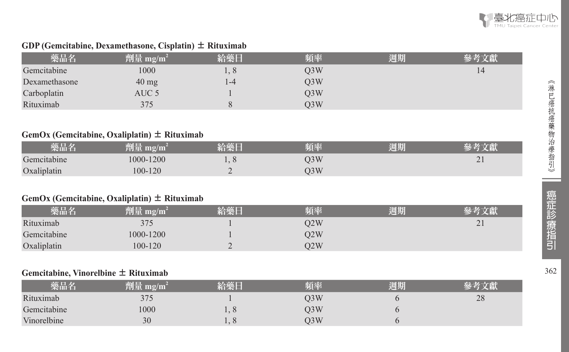

#### **GDP (Gemcitabine, Dexamethasone, Cisplatin)**  ± **Rituximab**

| 藥品名           | 劑量 mg/m <sup>2</sup> | 給藥日 | 頻率  | 週期 | 參考文獻 |
|---------------|----------------------|-----|-----|----|------|
| Gemcitabine   | 1000                 | 1,8 | O3W |    | 14   |
| Dexamethasone | $40 \text{ mg}$      | 1-4 | O3W |    |      |
| Carboplatin   | AUC 5                |     | O3W |    |      |
| Rituximab     | 375                  |     | O3W |    |      |

#### **GemOx (Gemcitabine, Oxaliplatin)**  ± **Rituximab**

| 藥品名         | mg/m<br>削重 | 給藥日                           | 頃率  | 週期 |          |
|-------------|------------|-------------------------------|-----|----|----------|
| Gemcitabine | 1000-1200  | $\mathbf{1} \cdot \mathbf{0}$ | O3W |    | $\sim$ 1 |
| Oxaliplatin | 100-120    | -                             | O3W |    |          |

#### **GemOx (Gemcitabine, Oxaliplatin)**  ± **Rituximab**

| 藥品名         | 劑量 mg/m <sup>i</sup> | 給藥日 | 頻率  | 週期 | 參考文獻            |
|-------------|----------------------|-----|-----|----|-----------------|
| Rituximab   | 375                  |     | D2W |    | $\mathcal{D}$ 1 |
| Gemcitabine | 1000-1200            |     | O2W |    |                 |
| Oxaliplatin | 100-120              |     | D2W |    |                 |

#### **Gemcitabine, Vinorelbine**  ± **Rituximab**

| 藥品名         | 劑量 mg/m <sup>2</sup> | 給藥日     | 頻率  | 週期 |    |
|-------------|----------------------|---------|-----|----|----|
| Rituximab   | 375                  |         | O3W |    | 28 |
| Gemcitabine | 1000                 | $\circ$ | O3W |    |    |
| Vinorelbine | 30                   | $\circ$ | )3W |    |    |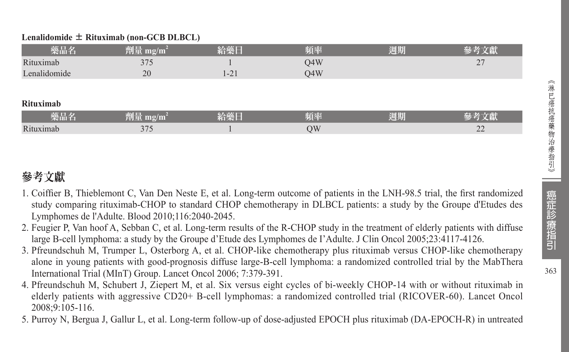### **Lenalidomide** ± **Rituximab (non-GCB DLBCL)**

| 藥品名          | 劑量 mg/m <sup>2</sup> | 給藥日      | 頻率  | 週期 | 參考文獻 |
|--------------|----------------------|----------|-----|----|------|
| Rituximab    | 375                  |          | O4W |    | 27   |
| Lenalidomide | 20                   | $1 - 21$ | O4W |    |      |
|              |                      |          |     |    |      |
| Rituximab    |                      |          |     |    |      |
| 藥品名          | 劑量 mg/m <sup>2</sup> | 給藥日      | 頻率  | 週期 | 參考文獻 |
| Rituximab    | 375                  |          | QW  |    | 22   |

# 參考文獻

- 1. Coiffier B, Thieblemont C, Van Den Neste E, et al. Long-term outcome of patients in the LNH-98.5 trial, the first randomized study comparing rituximab-CHOP to standard CHOP chemotherapy in DLBCL patients: a study by the Groupe d'Etudes des Lymphomes de l'Adulte. Blood 2010;116:2040-2045.
- 2. Feugier P, Van hoof A, Sebban C, et al. Long-term results of the R-CHOP study in the treatment of elderly patients with diffuse large B-cell lymphoma: a study by the Groupe d'Etude des Lymphomes de I'Adulte. J Clin Oncol 2005;23:4117-4126.
- 3. Pfreundschuh M, Trumper L, Osterborg A, et al. CHOP-like chemotherapy plus rituximab versus CHOP-like chemotherapy alone in young patients with good-prognosis diffuse large-B-cell lymphoma: a randomized controlled trial by the MabThera International Trial (MInT) Group. Lancet Oncol 2006; 7:379-391.
- 4. Pfreundschuh M, Schubert J, Ziepert M, et al. Six versus eight cycles of bi-weekly CHOP-14 with or without rituximab in elderly patients with aggressive CD20+ B-cell lymphomas: a randomized controlled trial (RICOVER-60). Lancet Oncol 2008;9:105-116.
- 5. Purroy N, Bergua J, Gallur L, et al. Long-term follow-up of dose-adjusted EPOCH plus rituximab (DA-EPOCH-R) in untreated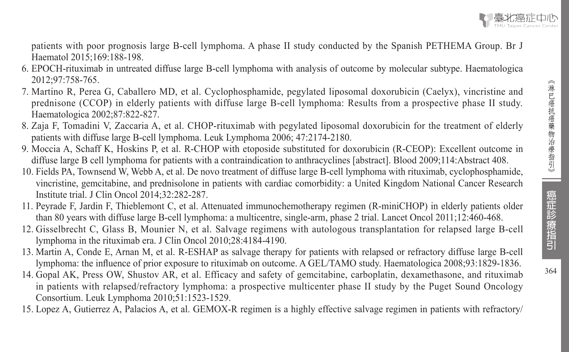364

patients with poor prognosis large B-cell lymphoma. A phase II study conducted by the Spanish PETHEMA Group. Br J Haematol 2015;169:188-198.

- 6. EPOCH-rituximab in untreated diffuse large B-cell lymphoma with analysis of outcome by molecular subtype. Haematologica 2012;97:758-765.
- 7. Martino R, Perea G, Caballero MD, et al. Cyclophosphamide, pegylated liposomal doxorubicin (Caelyx), vincristine and prednisone (CCOP) in elderly patients with diffuse large B-cell lymphoma: Results from a prospective phase II study. Haematologica 2002;87:822-827.
- 8. Zaja F, Tomadini V, Zaccaria A, et al. CHOP-rituximab with pegylated liposomal doxorubicin for the treatment of elderly patients with diffuse large B-cell lymphoma. Leuk Lymphoma 2006; 47:2174-2180.
- 9. Moccia A, Schaff K, Hoskins P, et al. R-CHOP with etoposide substituted for doxorubicin (R-CEOP): Excellent outcome in diffuse large B cell lymphoma for patients with a contraindication to anthracyclines [abstract]. Blood 2009;114:Abstract 408.
- 10. Fields PA, Townsend W, Webb A, et al. De novo treatment of diffuse large B-cell lymphoma with rituximab, cyclophosphamide, vincristine, gemcitabine, and prednisolone in patients with cardiac comorbidity: a United Kingdom National Cancer Research Institute trial. J Clin Oncol 2014;32:282-287.
- 11. Peyrade F, Jardin F, Thieblemont C, et al. Attenuated immunochemotherapy regimen (R-miniCHOP) in elderly patients older than 80 years with diffuse large B-cell lymphoma: a multicentre, single-arm, phase 2 trial. Lancet Oncol 2011;12:460-468.
- 12. Gisselbrecht C, Glass B, Mounier N, et al. Salvage regimens with autologous transplantation for relapsed large B-cell lymphoma in the rituximab era. J Clin Oncol 2010;28:4184-4190.
- 13. Martin A, Conde E, Arnan M, et al. R-ESHAP as salvage therapy for patients with relapsed or refractory diffuse large B-cell lymphoma: the influence of prior exposure to rituximab on outcome. A GEL/TAMO study. Haematologica 2008;93:1829-1836.
- 14. Gopal AK, Press OW, Shustov AR, et al. Efficacy and safety of gemcitabine, carboplatin, dexamethasone, and rituximab in patients with relapsed/refractory lymphoma: a prospective multicenter phase II study by the Puget Sound Oncology Consortium. Leuk Lymphoma 2010;51:1523-1529.
- 15. Lopez A, Gutierrez A, Palacios A, et al. GEMOX-R regimen is a highly effective salvage regimen in patients with refractory/

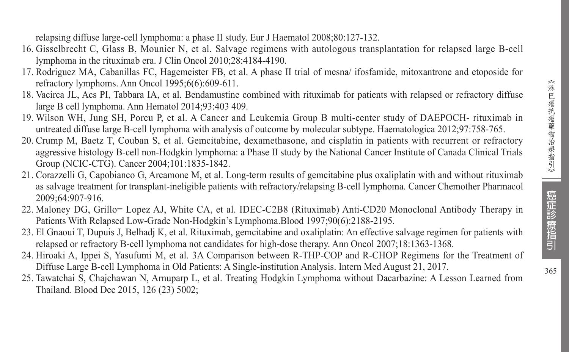relapsing diffuse large-cell lymphoma: a phase II study. Eur J Haematol 2008;80:127-132.

- 16. Gisselbrecht C, Glass B, Mounier N, et al. Salvage regimens with autologous transplantation for relapsed large B-cell lymphoma in the rituximab era. J Clin Oncol 2010;28:4184-4190.
- 17. Rodriguez MA, Cabanillas FC, Hagemeister FB, et al. A phase II trial of mesna/ ifosfamide, mitoxantrone and etoposide for refractory lymphoms. Ann Oncol 1995;6(6):609-611.
- 18. Vacirca JL, Acs PI, Tabbara IA, et al. Bendamustine combined with rituximab for patients with relapsed or refractory diffuse large B cell lymphoma. Ann Hematol 2014;93:403 409.
- 19. Wilson WH, Jung SH, Porcu P, et al. A Cancer and Leukemia Group B multi-center study of DAEPOCH- rituximab in untreated diffuse large B-cell lymphoma with analysis of outcome by molecular subtype. Haematologica 2012;97:758-765.
- 20. Crump M, Baetz T, Couban S, et al. Gemcitabine, dexamethasone, and cisplatin in patients with recurrent or refractory aggressive histology B-cell non-Hodgkin lymphoma: a Phase II study by the National Cancer Institute of Canada Clinical Trials Group (NCIC-CTG). Cancer 2004;101:1835-1842.
- 21. Corazzelli G, Capobianco G, Arcamone M, et al. Long-term results of gemcitabine plus oxaliplatin with and without rituximab as salvage treatment for transplant-ineligible patients with refractory/relapsing B-cell lymphoma. Cancer Chemother Pharmacol 2009;64:907-916.
- 22. Maloney DG, Grillo= Lopez AJ, White CA, et al. IDEC-C2B8 (Rituximab) Anti-CD20 Monoclonal Antibody Therapy in Patients With Relapsed Low-Grade Non-Hodgkin's Lymphoma.Blood 1997;90(6):2188-2195.
- 23. El Gnaoui T, Dupuis J, Belhadj K, et al. Rituximab, gemcitabine and oxaliplatin: An effective salvage regimen for patients with relapsed or refractory B-cell lymphoma not candidates for high-dose therapy. Ann Oncol 2007;18:1363-1368.
- 24. Hiroaki A, Ippei S, Yasufumi M, et al. 3A Comparison between R-THP-COP and R-CHOP Regimens for the Treatment of Diffuse Large B-cell Lymphoma in Old Patients: A Single-institution Analysis. Intern Med August 21, 2017.
- 25. Tawatchai S, Chajchawan N, Arnuparp L, et al. Treating Hodgkin Lymphoma without Dacarbazine: A Lesson Learned from Thailand. Blood Dec 2015, 126 (23) 5002;

癌症診療指引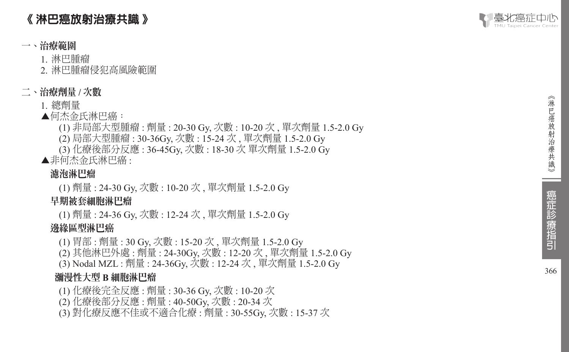# 《 淋巴癌放射治療共識 》

# 一、治療範圍

- 1. 淋巴腫瘤
- 2. 淋巴腫瘤侵犯高風險範圍

# 二、治療劑量 **/** 次數

- 1. 總劑量
- ▲何杰金氏淋巴癌:
	- (1) 非局部大型腫瘤 : 劑量 : 20-30 Gy, 次數 : 10-20 次 , 單次劑量 1.5-2.0 Gy
	- (2) 局部大型腫瘤 : 30-36Gy, 次數 : 15-24 次 , 單次劑量 1.5-2.0 Gy
	- (3) 化療後部分反應 : 36-45Gy, 次數 : 18-30 次 單次劑量 1.5-2.0 Gy
- ▲非何杰金氏淋巴癌 :

# 濾泡淋巴瘤

(1) 劑量 : 24-30 Gy, 次數 : 10-20 次 , 單次劑量 1.5-2.0 Gy

# 早期被套細胞淋巴瘤

(1) 劑量 : 24-36 Gy, 次數 : 12-24 次 , 單次劑量 1.5-2.0 Gy

# 邊緣區型淋巴癌

(1) 胃部 : 劑量 : 30 Gy, 次數 : 15-20 次 , 單次劑量 1.5-2.0 Gy

- (2) 其他淋巴外處 : 劑量 : 24-30Gy, 次數 : 12-20 次 , 單次劑量 1.5-2.0 Gy
- (3) Nodal MZL : 劑量 : 24-36Gy, 次數 : 12-24 次 , 單次劑量 1.5-2.0 Gy

# 瀰漫性大型 **B** 細胞淋巴瘤

- (1) 化療後完全反應 : 劑量 : 30-36 Gy, 次數 : 10-20 次
- (2) 化療後部分反應 : 劑量 : 40-50Gy, 次數 : 20-34 次
- (3) 對化療反應不佳或不適合化療 : 劑量 : 30-55Gy, 次數 : 15-37 次

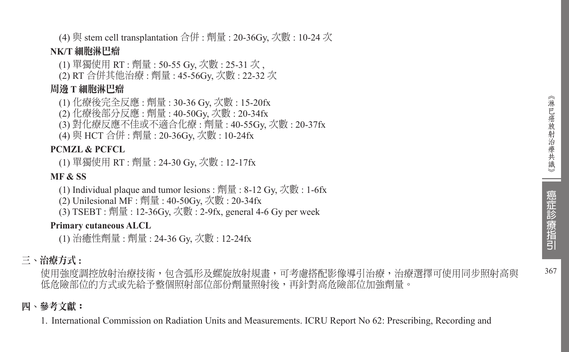367

(4) 與 stem cell transplantation 合併 : 劑量 : 20-36Gy, 次數 : 10-24 次

#### **NK/T** 細胞淋巴瘤

- (1) 單獨使用 RT : 劑量 : 50-55 Gy, 次數 : 25-31 次 ,
- (2) RT 合併其他治療 : 劑量 : 45-56Gy, 次數 : 22-32 次

#### 周邊 **T** 細胞淋巴瘤

- (1) 化療後完全反應 : 劑量 : 30-36 Gy, 次數 : 15-20fx
- (2) 化療後部分反應 : 劑量 : 40-50Gy, 次數 : 20-34fx
- (3) 對化療反應不佳或不適合化療 : 劑量 : 40-55Gy, 次數 : 20-37fx
- (4) 與 HCT 合併 : 劑量 : 20-36Gy, 次數 : 10-24fx

#### **PCMZL & PCFCL**

(1) 單獨使用 RT : 劑量 : 24-30 Gy, 次數 : 12-17fx

#### **MF & SS**

- (1) Individual plaque and tumor lesions : 劑量 : 8-12 Gy, 次數 : 1-6fx
- (2) Unilesional MF : 劑量 : 40-50Gy, 次數 : 20-34fx
- (3) TSEBT : 劑量 : 12-36Gy, 次數 : 2-9fx, general 4-6 Gy per week

#### **Primary cutaneous ALCL**

(1) 治癒性劑量 : 劑量 : 24-36 Gy, 次數 : 12-24fx

# 三、治療方式 **:**

使用強度調控放射治療技術,包含弧形及螺旋放射規畫,可考慮搭配影像導引治療,治療選擇可使用同步照射高與 低危險部位的方式或先給予整個照射部位部份劑量照射後,再針對高危險部位加強劑量。

### 四、參考文獻:

1. International Commission on Radiation Units and Measurements. ICRU Report No 62: Prescribing, Recording and